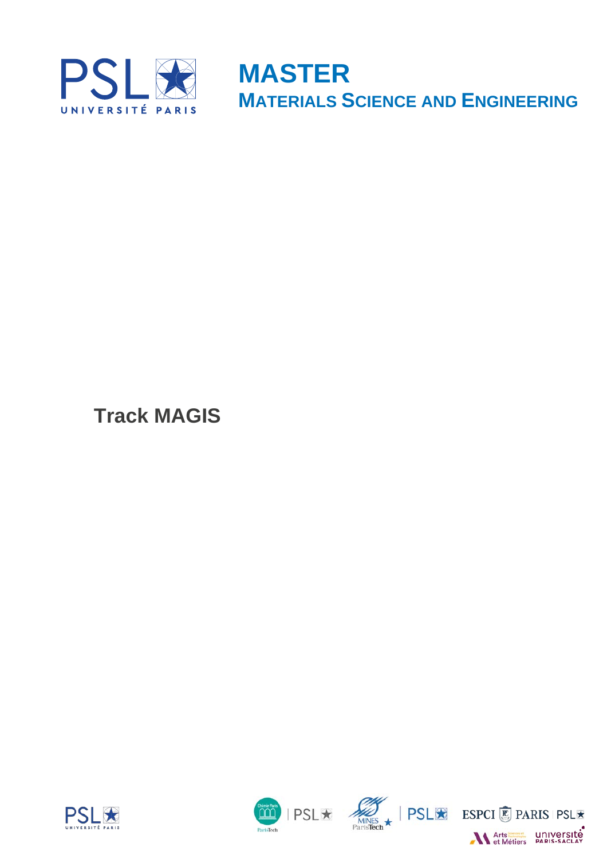

**MASTER MATERIALS SCIENCE AND ENGINEERING**

**Track MAGIS**







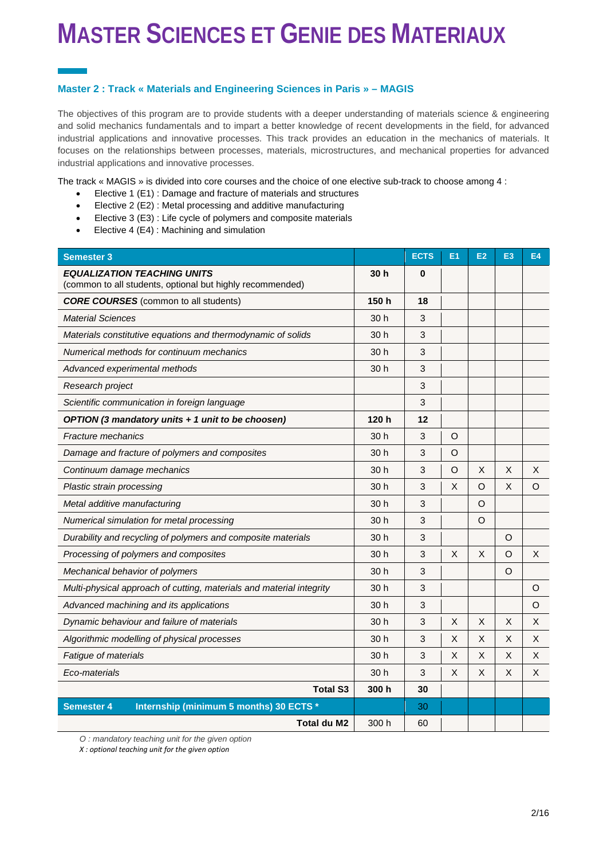#### **Master 2 : Track « Materials and Engineering Sciences in Paris » – MAGIS**

The objectives of this program are to provide students with a deeper understanding of materials science & engineering and solid mechanics fundamentals and to impart a better knowledge of recent developments in the field, for advanced industrial applications and innovative processes. This track provides an education in the mechanics of materials. It focuses on the relationships between processes, materials, microstructures, and mechanical properties for advanced industrial applications and innovative processes.

The track « MAGIS » is divided into core courses and the choice of one elective sub-track to choose among 4 :

- Elective 1 (E1) : Damage and fracture of materials and structures
- Elective 2 (E2) : Metal processing and additive manufacturing
- Elective 3 (E3) : Life cycle of polymers and composite materials
- Elective 4 (E4) : Machining and simulation

| <b>Semester 3</b>                                                                               |                 | <b>ECTS</b> | E <sub>1</sub> | E2 | E <sub>3</sub> | <b>E4</b> |
|-------------------------------------------------------------------------------------------------|-----------------|-------------|----------------|----|----------------|-----------|
| <b>EQUALIZATION TEACHING UNITS</b><br>(common to all students, optional but highly recommended) | 30 <sub>h</sub> | 0           |                |    |                |           |
| <b>CORE COURSES</b> (common to all students)                                                    | 150h            | 18          |                |    |                |           |
| <b>Material Sciences</b>                                                                        | 30 <sub>h</sub> | 3           |                |    |                |           |
| Materials constitutive equations and thermodynamic of solids                                    | 30h             | 3           |                |    |                |           |
| Numerical methods for continuum mechanics                                                       | 30 h            | 3           |                |    |                |           |
| Advanced experimental methods                                                                   | 30 h            | 3           |                |    |                |           |
| Research project                                                                                |                 | 3           |                |    |                |           |
| Scientific communication in foreign language                                                    |                 | 3           |                |    |                |           |
| OPTION (3 mandatory units + 1 unit to be choosen)                                               | 120 h           | 12          |                |    |                |           |
| <b>Fracture mechanics</b>                                                                       | 30 h            | 3           | O              |    |                |           |
| Damage and fracture of polymers and composites                                                  | 30 h            | 3           | O              |    |                |           |
| Continuum damage mechanics                                                                      | 30h             | 3           | $\circ$        | X  | $\mathsf{X}$   | X         |
| Plastic strain processing                                                                       | 30 <sub>h</sub> | 3           | X              | O  | X              | O         |
| Metal additive manufacturing                                                                    | 30h             | 3           |                | O  |                |           |
| Numerical simulation for metal processing                                                       | 30 h            | 3           |                | O  |                |           |
| Durability and recycling of polymers and composite materials                                    | 30h             | 3           |                |    | $\circ$        |           |
| Processing of polymers and composites                                                           | 30h             | 3           | $\times$       | X  | $\circ$        | X         |
| Mechanical behavior of polymers                                                                 | 30h             | 3           |                |    | $\circ$        |           |
| Multi-physical approach of cutting, materials and material integrity                            | 30 h            | 3           |                |    |                | O         |
| Advanced machining and its applications                                                         | 30h             | 3           |                |    |                | O         |
| Dynamic behaviour and failure of materials                                                      | 30 <sub>h</sub> | 3           | X              | X  | X              | X         |
| Algorithmic modelling of physical processes                                                     | 30 h            | 3           | X              | X  | X              | X         |
| Fatigue of materials                                                                            | 30 <sub>h</sub> | 3           | X              | X  | X              | X         |
| Eco-materials                                                                                   | 30 h            | 3           | X              | X  | X              | X         |
| <b>Total S3</b>                                                                                 | 300h            | 30          |                |    |                |           |
| Internship (minimum 5 months) 30 ECTS *<br><b>Semester 4</b>                                    |                 | 30          |                |    |                |           |
| Total du M2                                                                                     | 300 h           | 60          |                |    |                |           |

*O : mandatory teaching unit for the given option*

*X : optional teaching unit for the given option*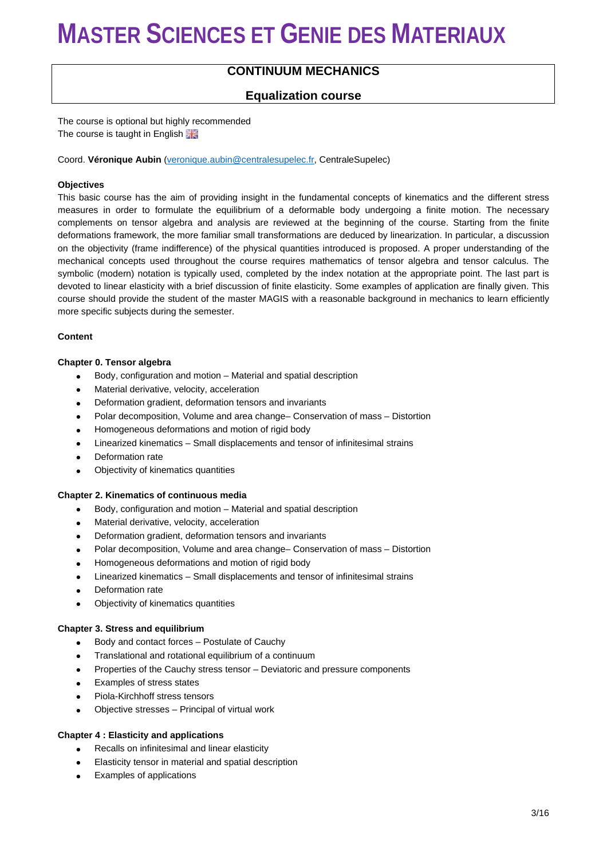### **CONTINUUM MECHANICS**

### **Equalization course**

The course is optional but highly recommended The course is taught in English

Coord. **Véronique Aubin** [\(veronique.aubin@centralesupelec.fr,](mailto:veronique.aubin@centralesupelec.fr) CentraleSupelec)

#### **Objectives**

This basic course has the aim of providing insight in the fundamental concepts of kinematics and the different stress measures in order to formulate the equilibrium of a deformable body undergoing a finite motion. The necessary complements on tensor algebra and analysis are reviewed at the beginning of the course. Starting from the finite deformations framework, the more familiar small transformations are deduced by linearization. In particular, a discussion on the objectivity (frame indifference) of the physical quantities introduced is proposed. A proper understanding of the mechanical concepts used throughout the course requires mathematics of tensor algebra and tensor calculus. The symbolic (modern) notation is typically used, completed by the index notation at the appropriate point. The last part is devoted to linear elasticity with a brief discussion of finite elasticity. Some examples of application are finally given. This course should provide the student of the master MAGIS with a reasonable background in mechanics to learn efficiently more specific subjects during the semester.

#### **Content**

#### **Chapter 0. Tensor algebra**

- Body, configuration and motion Material and spatial description
- Material derivative, velocity, acceleration
- Deformation gradient, deformation tensors and invariants
- Polar decomposition, Volume and area change– Conservation of mass Distortion
- Homogeneous deformations and motion of rigid body
- Linearized kinematics Small displacements and tensor of infinitesimal strains
- Deformation rate
- Objectivity of kinematics quantities

#### **Chapter 2. Kinematics of continuous media**

- Body, configuration and motion Material and spatial description
- Material derivative, velocity, acceleration
- Deformation gradient, deformation tensors and invariants
- Polar decomposition, Volume and area change– Conservation of mass Distortion
- Homogeneous deformations and motion of rigid body
- Linearized kinematics Small displacements and tensor of infinitesimal strains
- Deformation rate
- Objectivity of kinematics quantities

#### **Chapter 3. Stress and equilibrium**

- Body and contact forces Postulate of Cauchy
- Translational and rotational equilibrium of a continuum
- Properties of the Cauchy stress tensor Deviatoric and pressure components
- Examples of stress states
- Piola-Kirchhoff stress tensors
- Objective stresses Principal of virtual work

#### **Chapter 4 : Elasticity and applications**

- Recalls on infinitesimal and linear elasticity
- Elasticity tensor in material and spatial description
- Examples of applications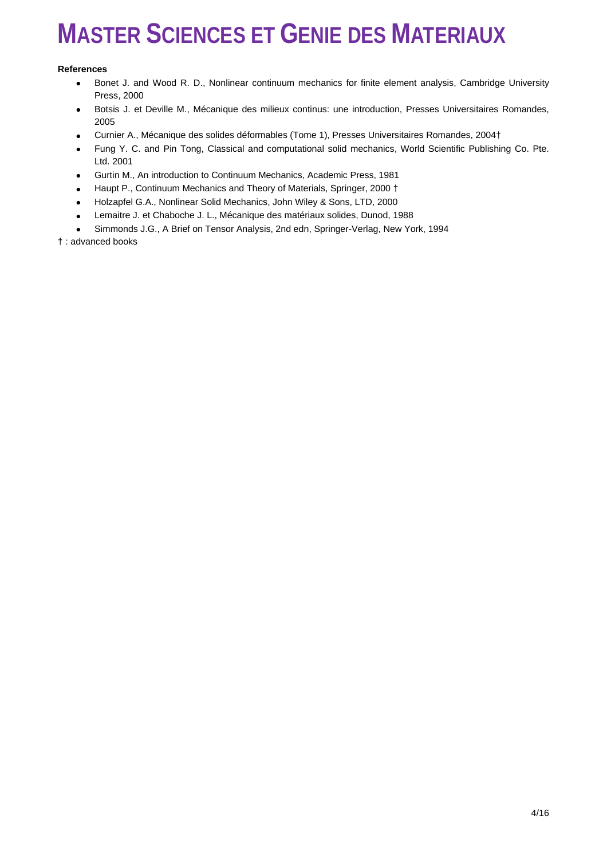#### **References**

- Bonet J. and Wood R. D., Nonlinear continuum mechanics for finite element analysis, Cambridge University Press, 2000
- Botsis J. et Deville M., Mécanique des milieux continus: une introduction, Presses Universitaires Romandes, 2005
- Curnier A., Mécanique des solides déformables (Tome 1), Presses Universitaires Romandes, 2004†
- Fung Y. C. and Pin Tong, Classical and computational solid mechanics, World Scientific Publishing Co. Pte. Ltd. 2001
- Gurtin M., An introduction to Continuum Mechanics, Academic Press, 1981
- Haupt P., Continuum Mechanics and Theory of Materials, Springer, 2000 †
- Holzapfel G.A., Nonlinear Solid Mechanics, John Wiley & Sons, LTD, 2000
- Lemaitre J. et Chaboche J. L., Mécanique des matériaux solides, Dunod, 1988
- Simmonds J.G., A Brief on Tensor Analysis, 2nd edn, Springer-Verlag, New York, 1994

† : advanced books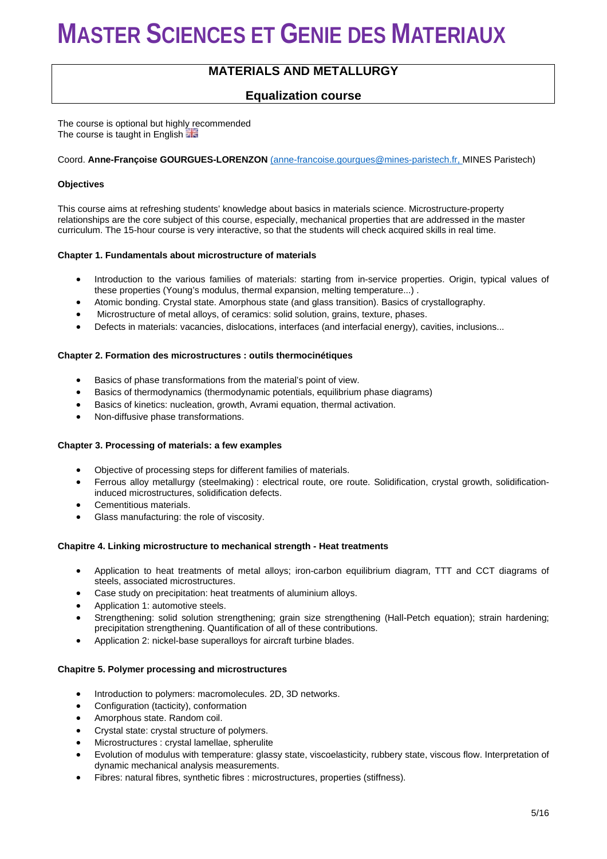### **MATERIALS AND METALLURGY**

### **Equalization course**

The course is optional but highly recommended The course is taught in English

#### Coord. **Anne-Françoise GOURGUES-LORENZON** [\(](mailto:anne-%20francoise.gourgues@ensmp.fr)[anne-francoise.gourgues@mines-paristech.fr,](mailto:anne-francoise.gourgues@mines-paristech.fr) [M](mailto:anne-%20francoise.gourgues@ensmp.fr)INES Paristech)

#### **Objectives**

This course aims at refreshing students' knowledge about basics in materials science. Microstructure-property relationships are the core subject of this course, especially, mechanical properties that are addressed in the master curriculum. The 15-hour course is very interactive, so that the students will check acquired skills in real time.

#### **Chapter 1. Fundamentals about microstructure of materials**

- Introduction to the various families of materials: starting from in-service properties. Origin, typical values of these properties (Young's modulus, thermal expansion, melting temperature...) .
- Atomic bonding. Crystal state. Amorphous state (and glass transition). Basics of crystallography.
- Microstructure of metal alloys, of ceramics: solid solution, grains, texture, phases.
- Defects in materials: vacancies, dislocations, interfaces (and interfacial energy), cavities, inclusions...

#### **Chapter 2. Formation des microstructures : outils thermocinétiques**

- Basics of phase transformations from the material's point of view.
- Basics of thermodynamics (thermodynamic potentials, equilibrium phase diagrams)
- Basics of kinetics: nucleation, growth, Avrami equation, thermal activation.
- Non-diffusive phase transformations.

#### **Chapter 3. Processing of materials: a few examples**

- Objective of processing steps for different families of materials.
- Ferrous alloy metallurgy (steelmaking) : electrical route, ore route. Solidification, crystal growth, solidificationinduced microstructures, solidification defects.
- Cementitious materials.
- Glass manufacturing: the role of viscosity.

#### **Chapitre 4. Linking microstructure to mechanical strength - Heat treatments**

- Application to heat treatments of metal alloys; iron-carbon equilibrium diagram, TTT and CCT diagrams of steels, associated microstructures.
- Case study on precipitation: heat treatments of aluminium alloys.
- Application 1: automotive steels.
- Strengthening: solid solution strengthening; grain size strengthening (Hall-Petch equation); strain hardening; precipitation strengthening. Quantification of all of these contributions.
- Application 2: nickel-base superalloys for aircraft turbine blades.

#### **Chapitre 5. Polymer processing and microstructures**

- Introduction to polymers: macromolecules. 2D, 3D networks.
- Configuration (tacticity), conformation
- Amorphous state. Random coil.
- Crystal state: crystal structure of polymers.
- Microstructures : crystal lamellae, spherulite
- Evolution of modulus with temperature: glassy state, viscoelasticity, rubbery state, viscous flow. Interpretation of dynamic mechanical analysis measurements.
- Fibres: natural fibres, synthetic fibres : microstructures, properties (stiffness).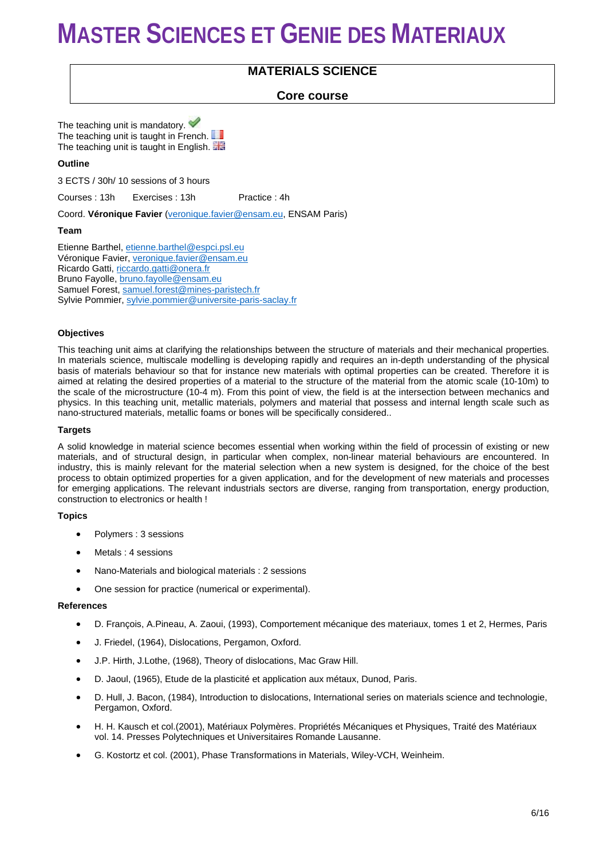## **MATERIALS SCIENCE**

### **Core course**

The teaching unit is mandatory. The teaching unit is taught in French. The teaching unit is taught in English.

#### **Outline**

3 ECTS / 30h/ 10 sessions of 3 hours

Courses : 13h Exercises : 13h Practice : 4h

Coord. **Véronique Favier** [\(veronique.favier@ensam.eu,](mailto:veronique.favier@ensam.eu) ENSAM Paris)

#### **Team**

Etienne Barthel, [etienne.barthel@espci.psl.eu](mailto:etienne.barthel@espci.psl.eu) Véronique Favier, [veronique.favier@ensam.eu](mailto:veronique.favier@ensam.eu) Ricardo Gatti, [riccardo.gatti@onera.fr](mailto:riccardo.gatti@onera.fr) Bruno Fayolle, [bruno.fayolle@ensam.eu](mailto:bruno.fayolle@ensam.eu) Samuel Forest, [samuel.forest@mines-paristech.fr](mailto:samuel.forest@mines-paristech.fr) Sylvie Pommier, [sylvie.pommier@universite-paris-saclay.fr](mailto:sylvie.pommier@universite-paris-saclay.fr)

#### **Objectives**

This teaching unit aims at clarifying the relationships between the structure of materials and their mechanical properties. In materials science, multiscale modelling is developing rapidly and requires an in-depth understanding of the physical basis of materials behaviour so that for instance new materials with optimal properties can be created. Therefore it is aimed at relating the desired properties of a material to the structure of the material from the atomic scale (10-10m) to the scale of the microstructure (10-4 m). From this point of view, the field is at the intersection between mechanics and physics. In this teaching unit, metallic materials, polymers and material that possess and internal length scale such as nano-structured materials, metallic foams or bones will be specifically considered..

#### **Targets**

A solid knowledge in material science becomes essential when working within the field of processin of existing or new materials, and of structural design, in particular when complex, non-linear material behaviours are encountered. In industry, this is mainly relevant for the material selection when a new system is designed, for the choice of the best process to obtain optimized properties for a given application, and for the development of new materials and processes for emerging applications. The relevant industrials sectors are diverse, ranging from transportation, energy production, construction to electronics or health !

#### **Topics**

- Polymers : 3 sessions
- Metals : 4 sessions
- Nano-Materials and biological materials : 2 sessions
- One session for practice (numerical or experimental).

#### **References**

- D. François, A.Pineau, A. Zaoui, (1993), Comportement mécanique des materiaux, tomes 1 et 2, Hermes, Paris
- J. Friedel, (1964), Dislocations, Pergamon, Oxford.
- J.P. Hirth, J.Lothe, (1968), Theory of dislocations, Mac Graw Hill.
- D. Jaoul, (1965), Etude de la plasticité et application aux métaux, Dunod, Paris.
- D. Hull, J. Bacon, (1984), Introduction to dislocations, International series on materials science and technologie, Pergamon, Oxford.
- H. H. Kausch et col.(2001), Matériaux Polymères. Propriétés Mécaniques et Physiques, Traité des Matériaux vol. 14. Presses Polytechniques et Universitaires Romande Lausanne.
- G. Kostortz et col. (2001), Phase Transformations in Materials, Wiley-VCH, Weinheim.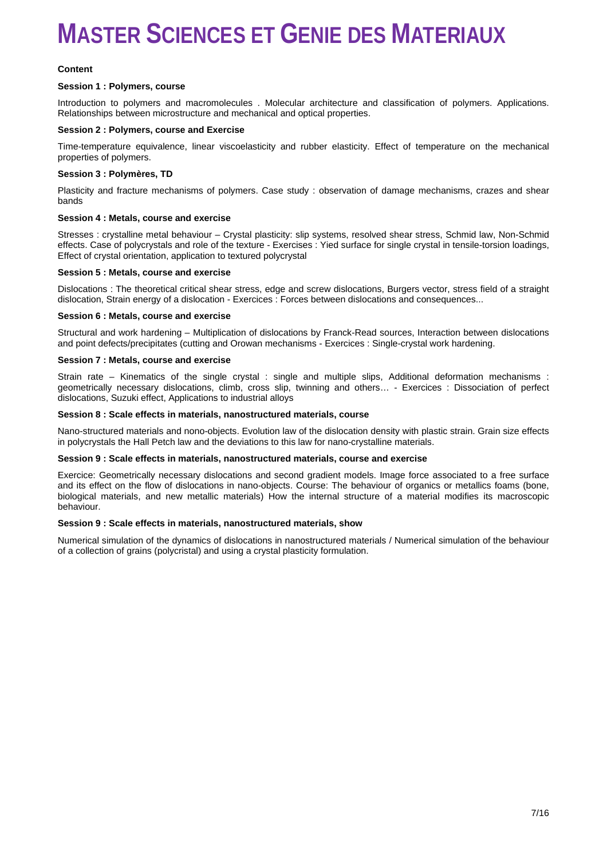#### **Content**

#### **Session 1 : Polymers, course**

Introduction to polymers and macromolecules . Molecular architecture and classification of polymers. Applications. Relationships between microstructure and mechanical and optical properties.

#### **Session 2 : Polymers, course and Exercise**

Time-temperature equivalence, linear viscoelasticity and rubber elasticity. Effect of temperature on the mechanical properties of polymers.

#### **Session 3 : Polymères, TD**

Plasticity and fracture mechanisms of polymers. Case study : observation of damage mechanisms, crazes and shear bands

#### **Session 4 : Metals, course and exercise**

Stresses : crystalline metal behaviour – Crystal plasticity: slip systems, resolved shear stress, Schmid law, Non-Schmid effects. Case of polycrystals and role of the texture - Exercises : Yied surface for single crystal in tensile-torsion loadings, Effect of crystal orientation, application to textured polycrystal

#### **Session 5 : Metals, course and exercise**

Dislocations : The theoretical critical shear stress, edge and screw dislocations, Burgers vector, stress field of a straight dislocation, Strain energy of a dislocation - Exercices : Forces between dislocations and consequences...

#### **Session 6 : Metals, course and exercise**

Structural and work hardening – Multiplication of dislocations by Franck-Read sources, Interaction between dislocations and point defects/precipitates (cutting and Orowan mechanisms - Exercices : Single-crystal work hardening.

#### **Session 7 : Metals, course and exercise**

Strain rate – Kinematics of the single crystal : single and multiple slips, Additional deformation mechanisms : geometrically necessary dislocations, climb, cross slip, twinning and others… - Exercices : Dissociation of perfect dislocations, Suzuki effect, Applications to industrial alloys

#### **Session 8 : Scale effects in materials, nanostructured materials, course**

Nano-structured materials and nono-objects. Evolution law of the dislocation density with plastic strain. Grain size effects in polycrystals the Hall Petch law and the deviations to this law for nano-crystalline materials.

#### **Session 9 : Scale effects in materials, nanostructured materials, course and exercise**

Exercice: Geometrically necessary dislocations and second gradient models. Image force associated to a free surface and its effect on the flow of dislocations in nano-objects. Course: The behaviour of organics or metallics foams (bone, biological materials, and new metallic materials) How the internal structure of a material modifies its macroscopic behaviour.

#### **Session 9 : Scale effects in materials, nanostructured materials, show**

Numerical simulation of the dynamics of dislocations in nanostructured materials / Numerical simulation of the behaviour of a collection of grains (polycristal) and using a crystal plasticity formulation.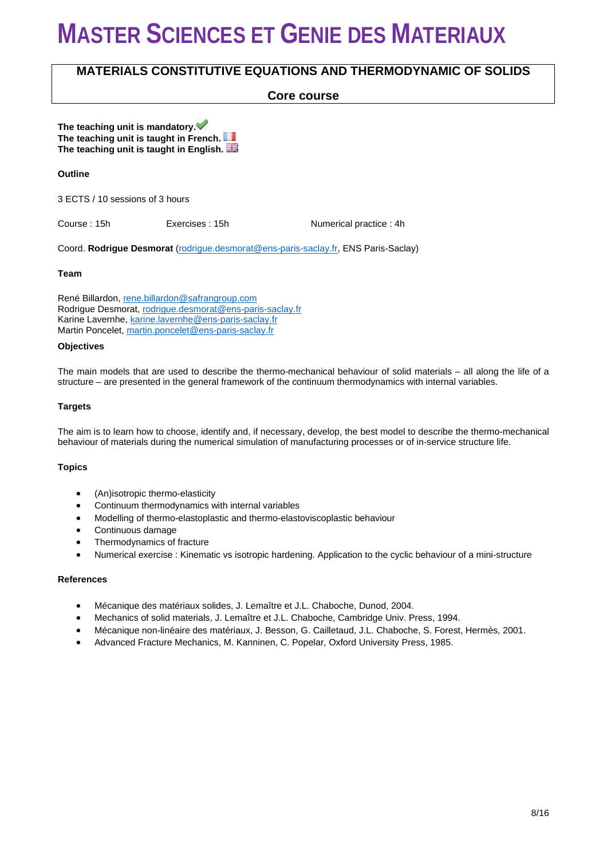### **MATERIALS CONSTITUTIVE EQUATIONS AND THERMODYNAMIC OF SOLIDS**

### **Core course**

**The teaching unit is mandatory. The teaching unit is taught in French. The teaching unit is taught in English.** 

#### **Outline**

3 ECTS / 10 sessions of 3 hours

Course : 15h **Exercises : 15h Course : 15h Numerical practice : 4h** 

Coord. **Rodrigue Desmorat** [\(rodrigue.desmorat@ens-paris-saclay.fr,](mailto:rodrigue.desmorat@ens-paris-saclay.fr) ENS Paris-Saclay)

#### **Team**

René Billardon[, rene.billardon@safrangroup.com](mailto:rene.billardon@safrangroup.com) Rodrigue Desmorat[, rodrigue.desmorat@ens-paris-saclay.fr](mailto:rodrigue.desmorat@ens-paris-saclay.fr) Karine Lavernhe[, karine.lavernhe@ens-paris-saclay.fr](mailto:karine.lavernhe@ens-paris-saclay.fr) Martin Poncelet, [martin.poncelet@ens-paris-saclay.fr](mailto:martin.poncelet@ens-paris-saclay.fr)

#### **Objectives**

The main models that are used to describe the thermo-mechanical behaviour of solid materials – all along the life of a structure – are presented in the general framework of the continuum thermodynamics with internal variables.

#### **Targets**

The aim is to learn how to choose, identify and, if necessary, develop, the best model to describe the thermo-mechanical behaviour of materials during the numerical simulation of manufacturing processes or of in-service structure life.

#### **Topics**

- (An)isotropic thermo-elasticity
- Continuum thermodynamics with internal variables
- Modelling of thermo-elastoplastic and thermo-elastoviscoplastic behaviour
- Continuous damage
- Thermodynamics of fracture
- Numerical exercise : Kinematic vs isotropic hardening. Application to the cyclic behaviour of a mini-structure

#### **References**

- Mécanique des matériaux solides, J. Lemaître et J.L. Chaboche, Dunod, 2004.
- Mechanics of solid materials, J. Lemaître et J.L. Chaboche, Cambridge Univ. Press, 1994.
- Mécanique non-linéaire des matériaux, J. Besson, G. Cailletaud, J.L. Chaboche, S. Forest, Hermès, 2001.
- Advanced Fracture Mechanics, M. Kanninen, C. Popelar, Oxford University Press, 1985.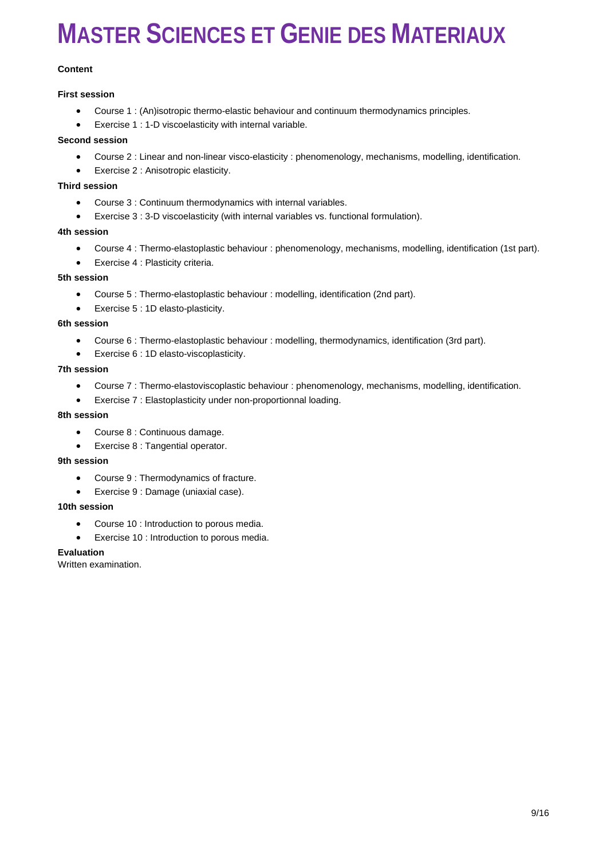#### **Content**

#### **First session**

- Course 1 : (An)isotropic thermo-elastic behaviour and continuum thermodynamics principles.
- Exercise 1 : 1-D viscoelasticity with internal variable.

#### **Second session**

- Course 2 : Linear and non-linear visco-elasticity : phenomenology, mechanisms, modelling, identification.
- Exercise 2 : Anisotropic elasticity.

#### **Third session**

- Course 3 : Continuum thermodynamics with internal variables.
- Exercise 3 : 3-D viscoelasticity (with internal variables vs. functional formulation).

#### **4th session**

- Course 4 : Thermo-elastoplastic behaviour : phenomenology, mechanisms, modelling, identification (1st part).
- Exercise 4 : Plasticity criteria.

#### **5th session**

- Course 5 : Thermo-elastoplastic behaviour : modelling, identification (2nd part).
- Exercise 5 : 1D elasto-plasticity.

#### **6th session**

- Course 6 : Thermo-elastoplastic behaviour : modelling, thermodynamics, identification (3rd part).
- Exercise 6 : 1D elasto-viscoplasticity.

#### **7th session**

- Course 7 : Thermo-elastoviscoplastic behaviour : phenomenology, mechanisms, modelling, identification.
- Exercise 7 : Elastoplasticity under non-proportionnal loading.

#### **8th session**

- Course 8 : Continuous damage.
- Exercise 8 : Tangential operator.

#### **9th session**

- Course 9 : Thermodynamics of fracture.
- Exercise 9 : Damage (uniaxial case).

#### **10th session**

- Course 10 : Introduction to porous media.
- Exercise 10 : Introduction to porous media.

#### **Evaluation**

Written examination.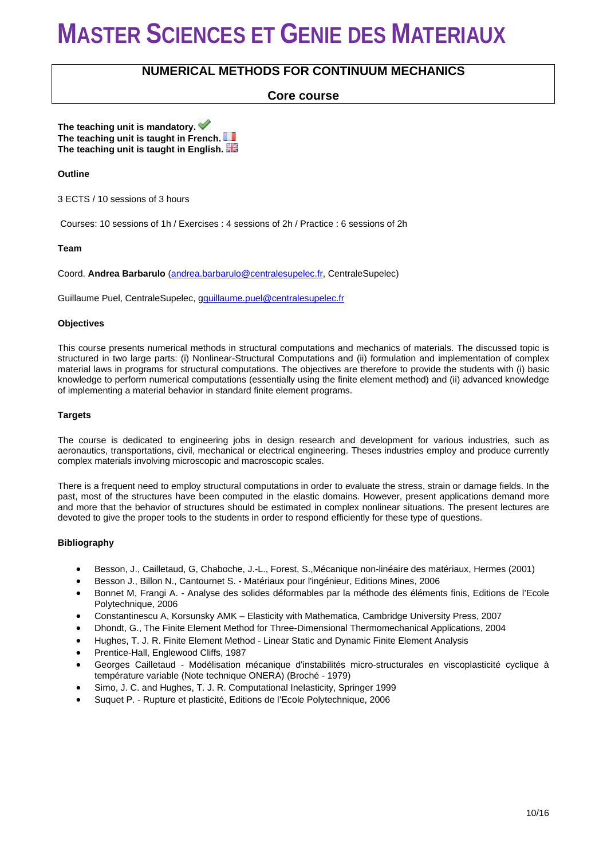### **NUMERICAL METHODS FOR CONTINUUM MECHANICS**

### **Core course**

**The teaching unit is mandatory. The teaching unit is taught in French. The teaching unit is taught in English.** 

#### **Outline**

3 ECTS / 10 sessions of 3 hours

Courses: 10 sessions of 1h / Exercises : 4 sessions of 2h / Practice : 6 sessions of 2h

#### **Team**

Coord. **Andrea Barbarulo** [\(andrea.barbarulo@centralesupelec.fr,](mailto:andrea.barbarulo@centralesupelec.fr) CentraleSupelec)

Guillaume Puel, CentraleSupelec, [gguillaume.puel@centralesupelec.fr](mailto:guillaume.puel@centralesupelec.fr)

#### **Objectives**

This course presents numerical methods in structural computations and mechanics of materials. The discussed topic is structured in two large parts: (i) Nonlinear-Structural Computations and (ii) formulation and implementation of complex material laws in programs for structural computations. The objectives are therefore to provide the students with (i) basic knowledge to perform numerical computations (essentially using the finite element method) and (ii) advanced knowledge of implementing a material behavior in standard finite element programs.

#### **Targets**

The course is dedicated to engineering jobs in design research and development for various industries, such as aeronautics, transportations, civil, mechanical or electrical engineering. Theses industries employ and produce currently complex materials involving microscopic and macroscopic scales.

There is a frequent need to employ structural computations in order to evaluate the stress, strain or damage fields. In the past, most of the structures have been computed in the elastic domains. However, present applications demand more and more that the behavior of structures should be estimated in complex nonlinear situations. The present lectures are devoted to give the proper tools to the students in order to respond efficiently for these type of questions.

#### **Bibliography**

- Besson, J., Cailletaud, G, Chaboche, J.-L., Forest, S.,Mécanique non-linéaire des matériaux, Hermes (2001)
- Besson J., Billon N., Cantournet S. Matériaux pour l'ingénieur, Editions Mines, 2006
- Bonnet M, Frangi A. Analyse des solides déformables par la méthode des éléments finis, Editions de l'Ecole Polytechnique, 2006
- Constantinescu A, Korsunsky AMK Elasticity with Mathematica, Cambridge University Press, 2007
- Dhondt, G., The Finite Element Method for Three-Dimensional Thermomechanical Applications, 2004
- Hughes, T. J. R. Finite Element Method Linear Static and Dynamic Finite Element Analysis
- Prentice-Hall, Englewood Cliffs, 1987
- Georges Cailletaud Modélisation mécanique d'instabilités micro-structurales en viscoplasticité cyclique à température variable (Note technique ONERA) (Broché - 1979)
- Simo, J. C. and Hughes, T. J. R. Computational Inelasticity, Springer 1999
- Suquet P. Rupture et plasticité, Editions de l'Ecole Polytechnique, 2006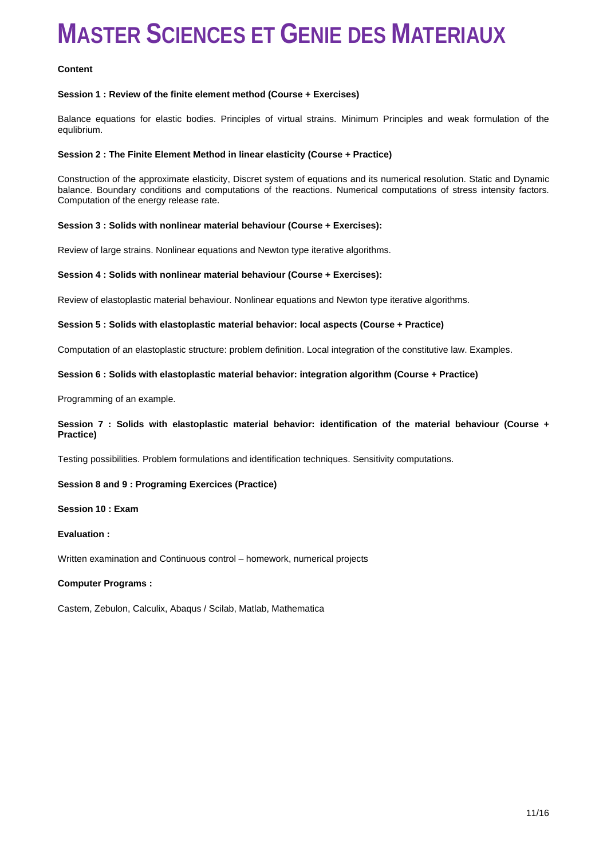#### **Content**

#### **Session 1 : Review of the finite element method (Course + Exercises)**

Balance equations for elastic bodies. Principles of virtual strains. Minimum Principles and weak formulation of the equlibrium.

#### **Session 2 : The Finite Element Method in linear elasticity (Course + Practice)**

Construction of the approximate elasticity, Discret system of equations and its numerical resolution. Static and Dynamic balance. Boundary conditions and computations of the reactions. Numerical computations of stress intensity factors. Computation of the energy release rate.

#### **Session 3 : Solids with nonlinear material behaviour (Course + Exercises):**

Review of large strains. Nonlinear equations and Newton type iterative algorithms.

#### **Session 4 : Solids with nonlinear material behaviour (Course + Exercises):**

Review of elastoplastic material behaviour. Nonlinear equations and Newton type iterative algorithms.

#### **Session 5 : Solids with elastoplastic material behavior: local aspects (Course + Practice)**

Computation of an elastoplastic structure: problem definition. Local integration of the constitutive law. Examples.

#### **Session 6 : Solids with elastoplastic material behavior: integration algorithm (Course + Practice)**

Programming of an example.

#### **Session 7 : Solids with elastoplastic material behavior: identification of the material behaviour (Course + Practice)**

Testing possibilities. Problem formulations and identification techniques. Sensitivity computations.

#### **Session 8 and 9 : Programing Exercices (Practice)**

#### **Session 10 : Exam**

#### **Evaluation :**

Written examination and Continuous control – homework, numerical projects

#### **Computer Programs :**

Castem, Zebulon, Calculix, Abaqus / Scilab, Matlab, Mathematica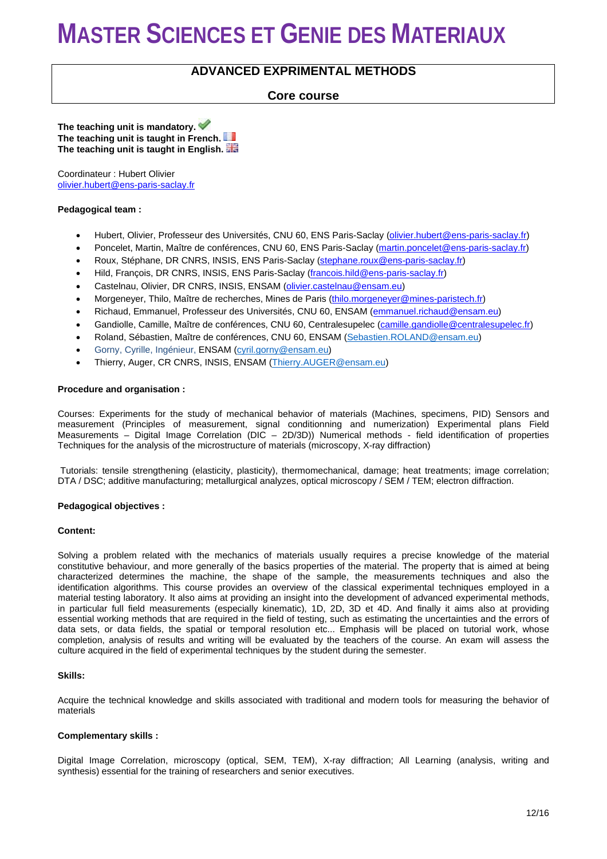### **ADVANCED EXPRIMENTAL METHODS**

### **Core course**

**The teaching unit is mandatory. The teaching unit is taught in French. The teaching unit is taught in English.** 

Coordinateur : Hubert Olivier [olivier.hubert@ens-paris-saclay.fr](mailto:olivier.hubert@ens-paris-saclay.fr)

#### **Pedagogical team :**

- Hubert, Olivier, Professeur des Universités, CNU 60, ENS Paris-Saclay [\(olivier.hubert@ens-paris-saclay.fr\)](mailto:olivier.hubert@ens-paris-saclay.fr)
- Poncelet, Martin, Maître de conférences, CNU 60, ENS Paris-Saclay [\(martin.poncelet@ens-paris-saclay.fr\)](mailto:martin.poncelet@ens-paris-saclay.fr)
- Roux, Stéphane, DR CNRS, INSIS, ENS Paris-Saclay [\(stephane.roux@ens-paris-saclay.fr\)](mailto:stephane.roux@lmt.ens-cachan.fr)
- Hild, François, DR CNRS, INSIS, ENS Paris-Saclay [\(francois.hild@ens-paris-saclay.fr\)](mailto:francois.hild@ens-paris-saclay.fr)
- Castelnau, Olivier, DR CNRS, INSIS, ENSAM [\(olivier.castelnau@ensam.eu\)](mailto:olivier.castelnau@ensam.eu)
- Morgeneyer, Thilo, Maître de recherches, Mines de Paris [\(thilo.morgeneyer@mines-paristech.fr\)](mailto:thilo.morgeneyer@mines-paristech.fr)
- Richaud, Emmanuel, Professeur des Universités, CNU 60, ENSAM [\(emmanuel.richaud@ensam.eu\)](mailto:emmanuel.richaud@ensam.eu)
- Gandiolle, Camille, Maître de conférences, CNU 60, Centralesupelec [\(camille.gandiolle@centralesupelec.fr\)](mailto:camille.gandiolle@centralesupelec.fr)
- Roland, Sébastien, Maître de conférences, CNU 60, ENSAM [\(Sebastien.ROLAND@ensam.eu\)](mailto:Sebastien.ROLAND@ensam.eu)
- Gorny, Cyrille, Ingénieur, ENSAM [\(cyril.gorny@ensam.eu\)](mailto:cyril.gorny@ensam.eu)
- Thierry, Auger, CR CNRS, INSIS, ENSAM [\(Thierry.AUGER@ensam.eu\)](mailto:Frederic.VALES@ensam.eu)

#### **Procedure and organisation :**

Courses: Experiments for the study of mechanical behavior of materials (Machines, specimens, PID) Sensors and measurement (Principles of measurement, signal conditionning and numerization) Experimental plans Field Measurements – Digital Image Correlation (DIC – 2D/3D)) Numerical methods - field identification of properties Techniques for the analysis of the microstructure of materials (microscopy, X-ray diffraction)

Tutorials: tensile strengthening (elasticity, plasticity), thermomechanical, damage; heat treatments; image correlation; DTA / DSC; additive manufacturing; metallurgical analyzes, optical microscopy / SEM / TEM; electron diffraction.

#### **Pedagogical objectives :**

#### **Content:**

Solving a problem related with the mechanics of materials usually requires a precise knowledge of the material constitutive behaviour, and more generally of the basics properties of the material. The property that is aimed at being characterized determines the machine, the shape of the sample, the measurements techniques and also the identification algorithms. This course provides an overview of the classical experimental techniques employed in a material testing laboratory. It also aims at providing an insight into the development of advanced experimental methods, in particular full field measurements (especially kinematic), 1D, 2D, 3D et 4D. And finally it aims also at providing essential working methods that are required in the field of testing, such as estimating the uncertainties and the errors of data sets, or data fields, the spatial or temporal resolution etc... Emphasis will be placed on tutorial work, whose completion, analysis of results and writing will be evaluated by the teachers of the course. An exam will assess the culture acquired in the field of experimental techniques by the student during the semester.

#### **Skills:**

Acquire the technical knowledge and skills associated with traditional and modern tools for measuring the behavior of materials

#### **Complementary skills :**

Digital Image Correlation, microscopy (optical, SEM, TEM), X-ray diffraction; All Learning (analysis, writing and synthesis) essential for the training of researchers and senior executives.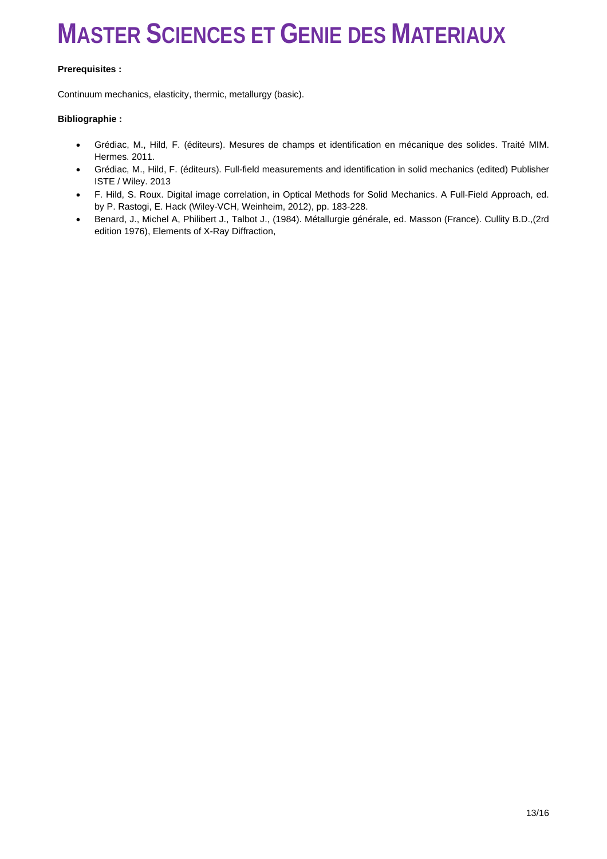#### **Prerequisites :**

Continuum mechanics, elasticity, thermic, metallurgy (basic).

#### **Bibliographie :**

- Grédiac, M., Hild, F. (éditeurs). Mesures de champs et identification en mécanique des solides. Traité MIM. Hermes. 2011.
- Grédiac, M., Hild, F. (éditeurs). Full-field measurements and identification in solid mechanics (edited) Publisher ISTE / Wiley. 2013
- F. Hild, S. Roux. Digital image correlation, in Optical Methods for Solid Mechanics. A Full-Field Approach, ed. by P. Rastogi, E. Hack (Wiley-VCH, Weinheim, 2012), pp. 183-228.
- Benard, J., Michel A, Philibert J., Talbot J., (1984). Métallurgie générale, ed. Masson (France). Cullity B.D.,(2rd edition 1976), Elements of X-Ray Diffraction,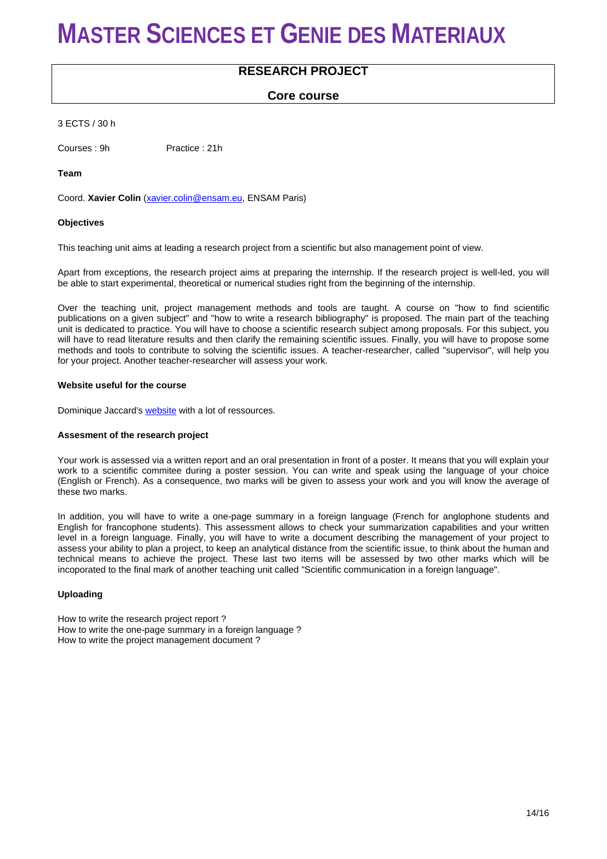### **RESEARCH PROJECT**

### **Core course**

3 ECTS / 30 h

Courses : 9h Practice : 21h

**Team**

Coord. **Xavier Colin** [\(xavier.colin@ensam.eu,](mailto:xavier.colin@ensam.eu) ENSAM Paris)

#### **Objectives**

This teaching unit aims at leading a research project from a scientific but also management point of view.

Apart from exceptions, the research project aims at preparing the internship. If the research project is well-led, you will be able to start experimental, theoretical or numerical studies right from the beginning of the internship.

Over the teaching unit, project management methods and tools are taught. A course on "how to find scientific publications on a given subject" and "how to write a research bibliography" is proposed. The main part of the teaching unit is dedicated to practice. You will have to choose a scientific research subject among proposals. For this subject, you will have to read literature results and then clarify the remaining scientific issues. Finally, you will have to propose some methods and tools to contribute to solving the scientific issues. A teacher-researcher, called "supervisor", will help you for your project. Another teacher-researcher will assess your work.

#### **Website useful for the course**

Dominique Jaccard's [website](http://www.heig-vd.ch/Default.aspx?alias=www.heig-vd.ch/gp) with a lot of ressources.

#### **Assesment of the research project**

Your work is assessed via a written report and an oral presentation in front of a poster. It means that you will explain your work to a scientific commitee during a poster session. You can write and speak using the language of your choice (English or French). As a consequence, two marks will be given to assess your work and you will know the average of these two marks.

In addition, you will have to write a one-page summary in a foreign language (French for anglophone students and English for francophone students). This assessment allows to check your summarization capabilities and your written level in a foreign language. Finally, you will have to write a document describing the management of your project to assess your ability to plan a project, to keep an analytical distance from the scientific issue, to think about the human and technical means to achieve the project. These last two items will be assessed by two other marks which will be incoporated to the final mark of another teaching unit called "Scientific communication in a foreign language".

#### **Uploading**

How to write the research project report ? How to write the one-page summary in a foreign language ? How to write the project management document ?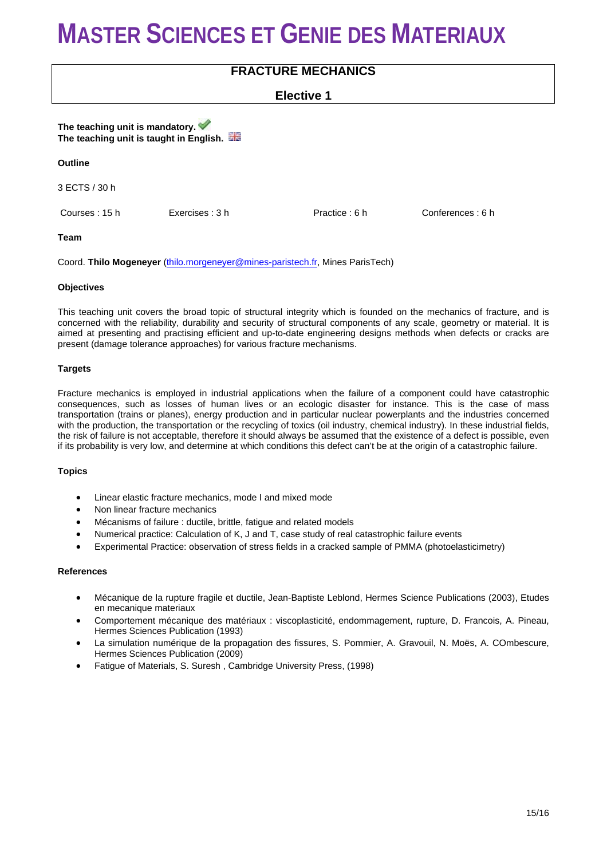## **FRACTURE MECHANICS**

### **Elective 1**

**The teaching unit is mandatory. The teaching unit is taught in English.**

#### **Outline**

3 ECTS / 30 h

Courses : 15 h Exercises : 3 h Practice : 6 h Conferences : 6 h

**Team**

Coord. **Thilo Mogeneyer** [\(thilo.morgeneyer@mines-paristech.fr,](mailto:thilo.morgeneyer@mines-paristech.fr) Mines ParisTech)

#### **Objectives**

This teaching unit covers the broad topic of structural integrity which is founded on the mechanics of fracture, and is concerned with the reliability, durability and security of structural components of any scale, geometry or material. It is aimed at presenting and practising efficient and up-to-date engineering designs methods when defects or cracks are present (damage tolerance approaches) for various fracture mechanisms.

#### **Targets**

Fracture mechanics is employed in industrial applications when the failure of a component could have catastrophic consequences, such as losses of human lives or an ecologic disaster for instance. This is the case of mass transportation (trains or planes), energy production and in particular nuclear powerplants and the industries concerned with the production, the transportation or the recycling of toxics (oil industry, chemical industry). In these industrial fields, the risk of failure is not acceptable, therefore it should always be assumed that the existence of a defect is possible, even if its probability is very low, and determine at which conditions this defect can't be at the origin of a catastrophic failure.

#### **Topics**

- Linear elastic fracture mechanics, mode I and mixed mode
- Non linear fracture mechanics
- Mécanisms of failure : ductile, brittle, fatigue and related models
- Numerical practice: Calculation of K, J and T, case study of real catastrophic failure events
- Experimental Practice: observation of stress fields in a cracked sample of PMMA (photoelasticimetry)

#### **References**

- Mécanique de la rupture fragile et ductile, Jean-Baptiste Leblond, Hermes Science Publications (2003), Etudes en mecanique materiaux
- Comportement mécanique des matériaux : viscoplasticité, endommagement, rupture, D. Francois, A. Pineau, Hermes Sciences Publication (1993)
- La simulation numérique de la propagation des fissures, S. Pommier, A. Gravouil, N. Moës, A. COmbescure, Hermes Sciences Publication (2009)
- Fatigue of Materials, S. Suresh , Cambridge University Press, (1998)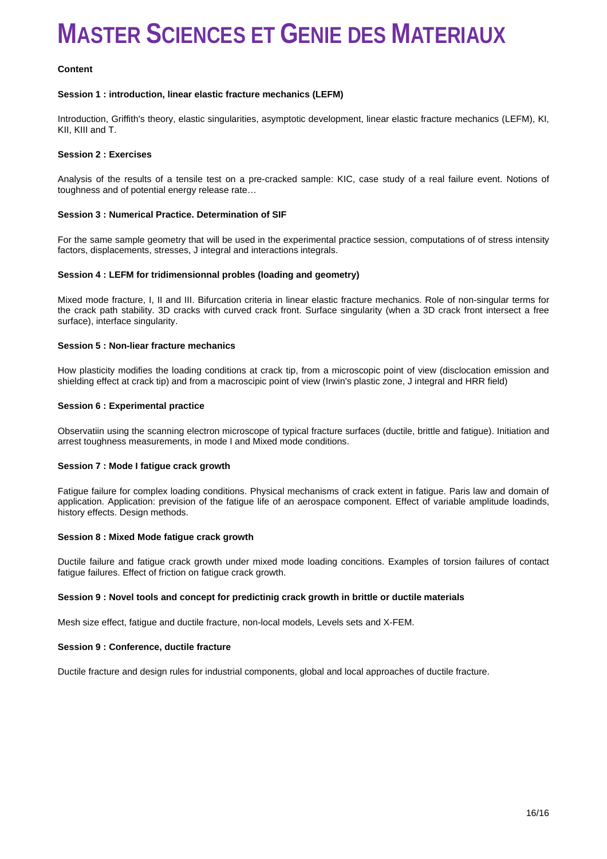#### **Content**

#### **Session 1 : introduction, linear elastic fracture mechanics (LEFM)**

Introduction, Griffith's theory, elastic singularities, asymptotic development, linear elastic fracture mechanics (LEFM), KI, KII, KIII and T.

#### **Session 2 : Exercises**

Analysis of the results of a tensile test on a pre-cracked sample: KIC, case study of a real failure event. Notions of toughness and of potential energy release rate…

#### **Session 3 : Numerical Practice. Determination of SIF**

For the same sample geometry that will be used in the experimental practice session, computations of of stress intensity factors, displacements, stresses, J integral and interactions integrals.

#### **Session 4 : LEFM for tridimensionnal probles (loading and geometry)**

Mixed mode fracture, I, II and III. Bifurcation criteria in linear elastic fracture mechanics. Role of non-singular terms for the crack path stability. 3D cracks with curved crack front. Surface singularity (when a 3D crack front intersect a free surface), interface singularity.

#### **Session 5 : Non-liear fracture mechanics**

How plasticity modifies the loading conditions at crack tip, from a microscopic point of view (disclocation emission and shielding effect at crack tip) and from a macroscipic point of view (Irwin's plastic zone, J integral and HRR field)

#### **Session 6 : Experimental practice**

Observatiin using the scanning electron microscope of typical fracture surfaces (ductile, brittle and fatigue). Initiation and arrest toughness measurements, in mode I and Mixed mode conditions.

#### **Session 7 : Mode I fatigue crack growth**

Fatigue failure for complex loading conditions. Physical mechanisms of crack extent in fatigue. Paris law and domain of application. Application: prevision of the fatigue life of an aerospace component. Effect of variable amplitude loadinds, history effects. Design methods.

#### **Session 8 : Mixed Mode fatigue crack growth**

Ductile failure and fatigue crack growth under mixed mode loading concitions. Examples of torsion failures of contact fatigue failures. Effect of friction on fatigue crack growth.

#### **Session 9 : Novel tools and concept for predictinig crack growth in brittle or ductile materials**

Mesh size effect, fatigue and ductile fracture, non-local models, Levels sets and X-FEM.

#### **Session 9 : Conference, ductile fracture**

Ductile fracture and design rules for industrial components, global and local approaches of ductile fracture.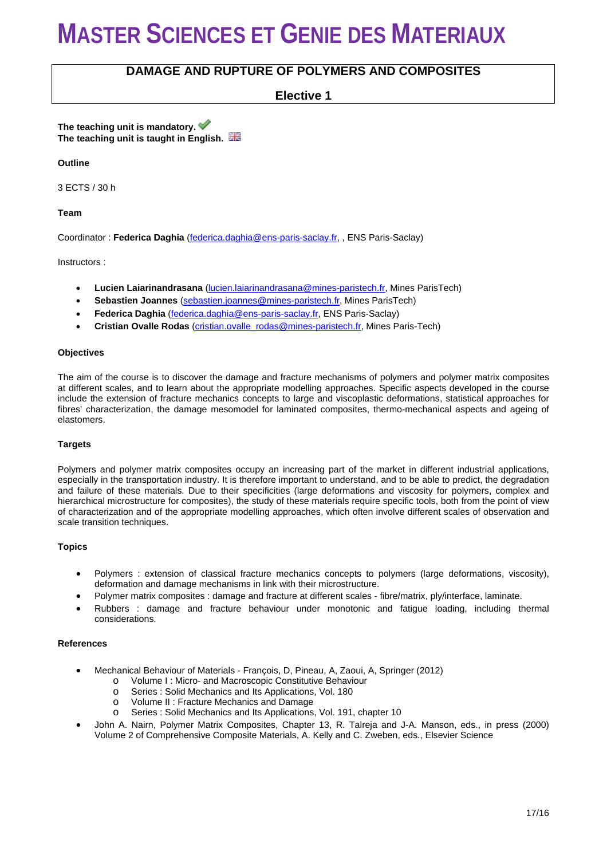### **DAMAGE AND RUPTURE OF POLYMERS AND COMPOSITES**

**Elective 1**

**The teaching unit is mandatory. The teaching unit is taught in English.**

**Outline**

3 ECTS / 30 h

**Team**

Coordinator : **Federica Daghia** [\(federica.daghia@ens-paris-saclay.fr,](mailto:federica.daghia@ens-paris-saclay.fr) , ENS Paris-Saclay)

Instructors :

- **Lucien Laiarinandrasana** [\(lucien.laiarinandrasana@mines-paristech.fr,](mailto:lucien.laiarinandrasana@mines-paristech.fr) Mines ParisTech)
- **Sebastien Joannes** [\(sebastien.joannes@mines-paristech.fr,](mailto:sebastien.joannes@mines-paristech.fr) Mines ParisTech)
- **Federica Daghia** [\(federica.daghia@ens-paris-saclay.fr,](mailto:federica.daghia@ens-paris-saclay.fr) ENS Paris-Saclay)
- **Cristian Ovalle Rodas** [\(cristian.ovalle\\_rodas@mines-paristech.fr,](mailto:cristian.ovalle_rodas@mines-paristech.fr) Mines Paris-Tech)

#### **Objectives**

The aim of the course is to discover the damage and fracture mechanisms of polymers and polymer matrix composites at different scales, and to learn about the appropriate modelling approaches. Specific aspects developed in the course include the extension of fracture mechanics concepts to large and viscoplastic deformations, statistical approaches for fibres' characterization, the damage mesomodel for laminated composites, thermo-mechanical aspects and ageing of elastomers.

#### **Targets**

Polymers and polymer matrix composites occupy an increasing part of the market in different industrial applications, especially in the transportation industry. It is therefore important to understand, and to be able to predict, the degradation and failure of these materials. Due to their specificities (large deformations and viscosity for polymers, complex and hierarchical microstructure for composites), the study of these materials require specific tools, both from the point of view of characterization and of the appropriate modelling approaches, which often involve different scales of observation and scale transition techniques.

#### **Topics**

- Polymers : extension of classical fracture mechanics concepts to polymers (large deformations, viscosity), deformation and damage mechanisms in link with their microstructure.
- Polymer matrix composites : damage and fracture at different scales fibre/matrix, ply/interface, laminate.
- Rubbers : damage and fracture behaviour under monotonic and fatigue loading, including thermal considerations.

#### **References**

- Mechanical Behaviour of Materials François, D, Pineau, A, Zaoui, A, Springer (2012)
	- o Volume I : Micro- and Macroscopic Constitutive Behaviour<br>
	o Series : Solid Mechanics and Its Applications. Vol. 180
	- o Series : Solid Mechanics and Its Applications, Vol. 180<br>
	o Volume II : Fracture Mechanics and Damage
	- o Volume II : Fracture Mechanics and Damage
	- Series : Solid Mechanics and Its Applications, Vol. 191, chapter 10
- John A. Nairn, Polymer Matrix Composites, Chapter 13, R. Talreja and J-A. Manson, eds., in press (2000) Volume 2 of Comprehensive Composite Materials, A. Kelly and C. Zweben, eds., Elsevier Science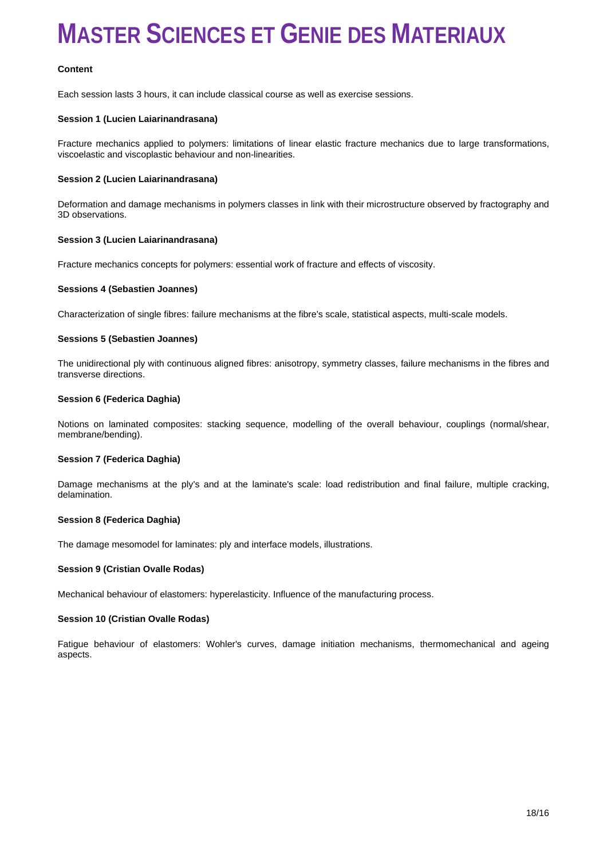#### **Content**

Each session lasts 3 hours, it can include classical course as well as exercise sessions.

#### **Session 1 (Lucien Laiarinandrasana)**

Fracture mechanics applied to polymers: limitations of linear elastic fracture mechanics due to large transformations, viscoelastic and viscoplastic behaviour and non-linearities.

#### **Session 2 (Lucien Laiarinandrasana)**

Deformation and damage mechanisms in polymers classes in link with their microstructure observed by fractography and 3D observations.

#### **Session 3 (Lucien Laiarinandrasana)**

Fracture mechanics concepts for polymers: essential work of fracture and effects of viscosity.

#### **Sessions 4 (Sebastien Joannes)**

Characterization of single fibres: failure mechanisms at the fibre's scale, statistical aspects, multi-scale models.

#### **Sessions 5 (Sebastien Joannes)**

The unidirectional ply with continuous aligned fibres: anisotropy, symmetry classes, failure mechanisms in the fibres and transverse directions.

#### **Session 6 (Federica Daghia)**

Notions on laminated composites: stacking sequence, modelling of the overall behaviour, couplings (normal/shear, membrane/bending).

#### **Session 7 (Federica Daghia)**

Damage mechanisms at the ply's and at the laminate's scale: load redistribution and final failure, multiple cracking, delamination.

#### **Session 8 (Federica Daghia)**

The damage mesomodel for laminates: ply and interface models, illustrations.

#### **Session 9 (Cristian Ovalle Rodas)**

Mechanical behaviour of elastomers: hyperelasticity. Influence of the manufacturing process.

#### **Session 10 (Cristian Ovalle Rodas)**

Fatigue behaviour of elastomers: Wohler's curves, damage initiation mechanisms, thermomechanical and ageing aspects.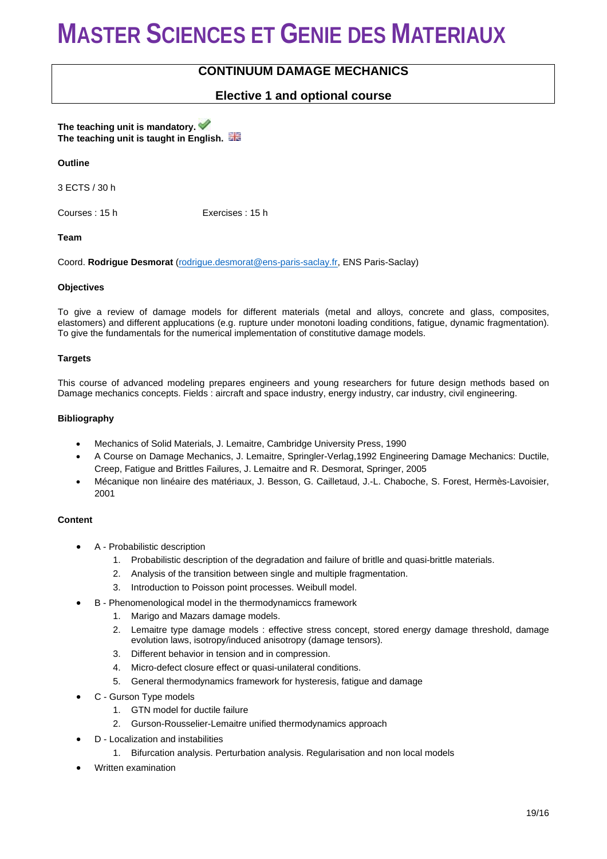### **CONTINUUM DAMAGE MECHANICS**

### **Elective 1 and optional course**

**The teaching unit is mandatory. The teaching unit is taught in English.**

#### **Outline**

3 ECTS / 30 h

Courses : 15 h Exercises : 15 h

#### **Team**

Coord. **Rodrigue Desmorat** [\(rodrigue.desmorat@ens-paris-saclay.fr,](mailto:rodrigue.desmorat@ens-paris-saclay.fr) ENS Paris-Saclay)

#### **Objectives**

To give a review of damage models for different materials (metal and alloys, concrete and glass, composites, elastomers) and different applucations (e.g. rupture under monotoni loading conditions, fatigue, dynamic fragmentation). To give the fundamentals for the numerical implementation of constitutive damage models.

#### **Targets**

This course of advanced modeling prepares engineers and young researchers for future design methods based on Damage mechanics concepts. Fields : aircraft and space industry, energy industry, car industry, civil engineering.

#### **Bibliography**

- Mechanics of Solid Materials, J. Lemaitre, Cambridge University Press, 1990
- A Course on Damage Mechanics, J. Lemaitre, Springler-Verlag,1992 Engineering Damage Mechanics: Ductile, Creep, Fatigue and Brittles Failures, J. Lemaitre and R. Desmorat, Springer, 2005
- Mécanique non linéaire des matériaux, J. Besson, G. Cailletaud, J.-L. Chaboche, S. Forest, Hermès-Lavoisier, 2001

#### **Content**

- A Probabilistic description
	- 1. Probabilistic description of the degradation and failure of britlle and quasi-brittle materials.
	- 2. Analysis of the transition between single and multiple fragmentation.
	- 3. Introduction to Poisson point processes. Weibull model.
- B Phenomenological model in the thermodynamiccs framework
	- 1. Marigo and Mazars damage models.
	- 2. Lemaitre type damage models : effective stress concept, stored energy damage threshold, damage evolution laws, isotropy/induced anisotropy (damage tensors).
	- 3. Different behavior in tension and in compression.
	- 4. Micro-defect closure effect or quasi-unilateral conditions.
	- 5. General thermodynamics framework for hysteresis, fatigue and damage
- C Gurson Type models
	- 1. GTN model for ductile failure
	- 2. Gurson-Rousselier-Lemaitre unified thermodynamics approach
- D Localization and instabilities
	- 1. Bifurcation analysis. Perturbation analysis. Regularisation and non local models
- Written examination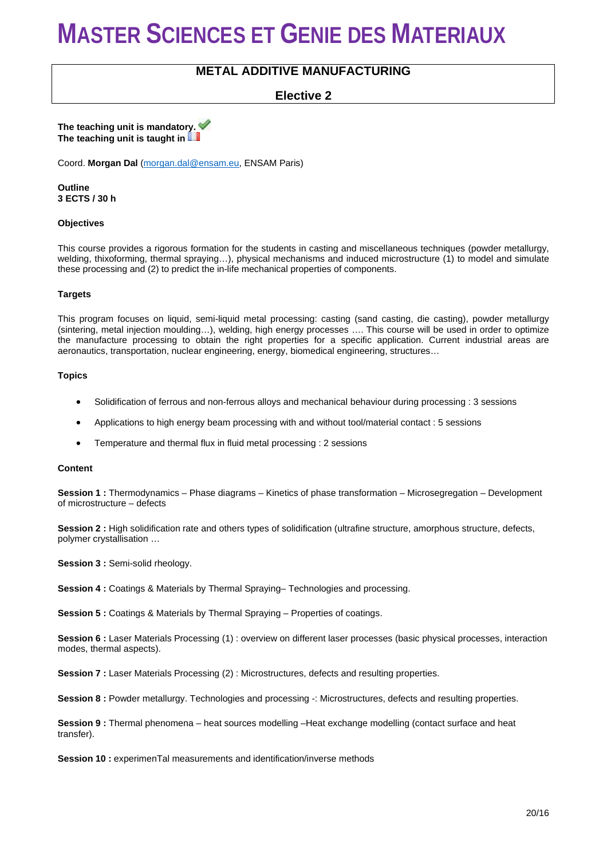### **METAL ADDITIVE MANUFACTURING**

### **Elective 2**

**The teaching unit is mandatory. The teaching unit is taught in** 

Coord. **Morgan Dal** [\(morgan.dal@ensam.eu,](mailto:morgan.dal@ensam.eu) ENSAM Paris)

**Outline 3 ECTS / 30 h**

#### **Objectives**

This course provides a rigorous formation for the students in casting and miscellaneous techniques (powder metallurgy, welding, thixoforming, thermal spraying…), physical mechanisms and induced microstructure (1) to model and simulate these processing and (2) to predict the in-life mechanical properties of components.

#### **Targets**

This program focuses on liquid, semi-liquid metal processing: casting (sand casting, die casting), powder metallurgy (sintering, metal injection moulding…), welding, high energy processes …. This course will be used in order to optimize the manufacture processing to obtain the right properties for a specific application. Current industrial areas are aeronautics, transportation, nuclear engineering, energy, biomedical engineering, structures…

#### **Topics**

- Solidification of ferrous and non-ferrous alloys and mechanical behaviour during processing : 3 sessions
- Applications to high energy beam processing with and without tool/material contact : 5 sessions
- Temperature and thermal flux in fluid metal processing : 2 sessions

#### **Content**

**Session 1 :** Thermodynamics – Phase diagrams – Kinetics of phase transformation – Microsegregation – Development of microstructure – defects

**Session 2 :** High solidification rate and others types of solidification (ultrafine structure, amorphous structure, defects, polymer crystallisation …

**Session 3 :** Semi-solid rheology.

**Session 4 :** Coatings & Materials by Thermal Spraying– Technologies and processing.

**Session 5 :** Coatings & Materials by Thermal Spraying – Properties of coatings.

**Session 6 :** Laser Materials Processing (1) : overview on different laser processes (basic physical processes, interaction modes, thermal aspects).

**Session 7 :** Laser Materials Processing (2) : Microstructures, defects and resulting properties.

**Session 8 :** Powder metallurgy. Technologies and processing -: Microstructures, defects and resulting properties.

**Session 9 :** Thermal phenomena – heat sources modelling –Heat exchange modelling (contact surface and heat transfer).

**Session 10 :** experimenTal measurements and identification/inverse methods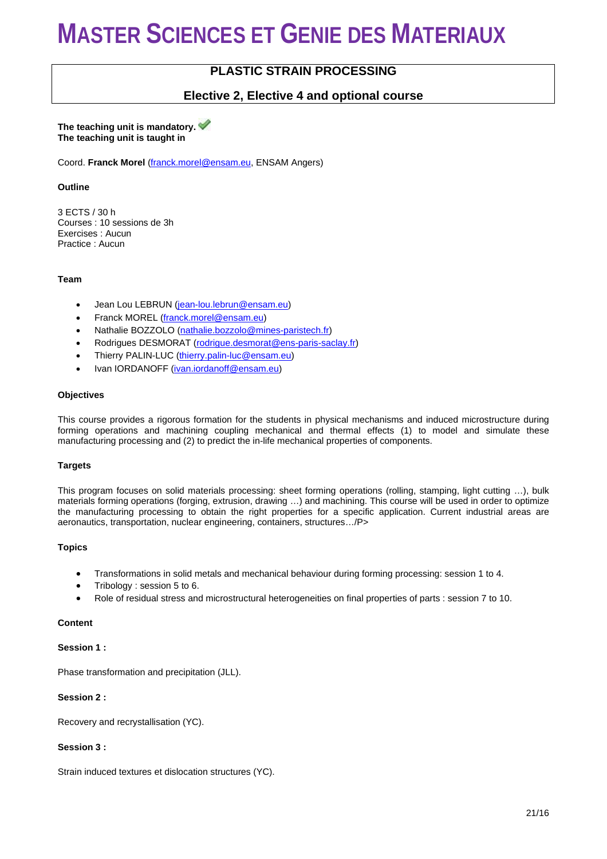### **PLASTIC STRAIN PROCESSING**

### **Elective 2, Elective 4 and optional course**

#### **The teaching unit is mandatory. The teaching unit is taught in**

Coord. **Franck Morel** [\(franck.morel@ensam.eu,](mailto:franck.morel@ensam.eu) ENSAM Angers)

#### **Outline**

3 ECTS / 30 h Courses : 10 sessions de 3h Exercises : Aucun Practice : Aucun

#### **Team**

- Jean Lou LEBRUN [\(jean-lou.lebrun@ensam.eu\)](mailto:jean-lou.lebrun@ensam.eu)
- Franck MOREL [\(franck.morel@ensam.eu\)](mailto:franck.morel@ensam.eu)
- Nathalie BOZZOLO [\(nathalie.bozzolo@mines-paristech.fr\)](mailto:nathalie.bozzolo@mines-paristech.fr)
- Rodrigues DESMORAT [\(rodrigue.desmorat@ens-paris-saclay.fr\)](mailto:rodrigue.desmorat@ens-paris-saclay.fr)
- Thierry PALIN-LUC [\(thierry.palin-luc@ensam.eu\)](mailto:thierry.palin-luc@ensam.eu)
- Ivan IORDANOFF [\(ivan.iordanoff@ensam.eu\)](mailto:ivan.iordanoff@ensam.eu)

#### **Objectives**

This course provides a rigorous formation for the students in physical mechanisms and induced microstructure during forming operations and machining coupling mechanical and thermal effects (1) to model and simulate these manufacturing processing and (2) to predict the in-life mechanical properties of components.

#### **Targets**

This program focuses on solid materials processing: sheet forming operations (rolling, stamping, light cutting …), bulk materials forming operations (forging, extrusion, drawing …) and machining. This course will be used in order to optimize the manufacturing processing to obtain the right properties for a specific application. Current industrial areas are aeronautics, transportation, nuclear engineering, containers, structures…/P>

#### **Topics**

- Transformations in solid metals and mechanical behaviour during forming processing: session 1 to 4.
- Tribology : session 5 to 6.
- Role of residual stress and microstructural heterogeneities on final properties of parts : session 7 to 10.

#### **Content**

#### **Session 1 :**

Phase transformation and precipitation (JLL).

#### **Session 2 :**

Recovery and recrystallisation (YC).

#### **Session 3 :**

Strain induced textures et dislocation structures (YC).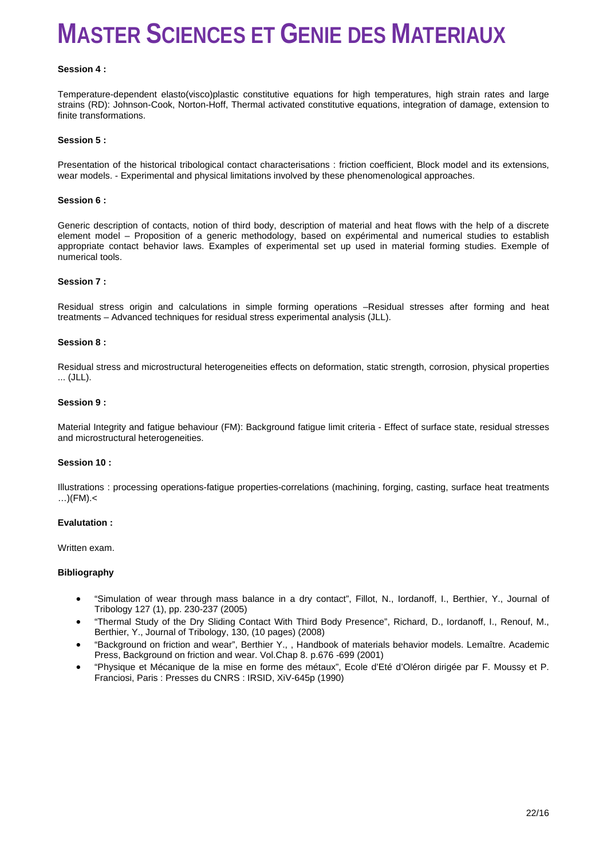#### **Session 4 :**

Temperature-dependent elasto(visco)plastic constitutive equations for high temperatures, high strain rates and large strains (RD): Johnson-Cook, Norton-Hoff, Thermal activated constitutive equations, integration of damage, extension to finite transformations.

#### **Session 5 :**

Presentation of the historical tribological contact characterisations : friction coefficient, Block model and its extensions, wear models. - Experimental and physical limitations involved by these phenomenological approaches.

#### **Session 6 :**

Generic description of contacts, notion of third body, description of material and heat flows with the help of a discrete element model – Proposition of a generic methodology, based on expérimental and numerical studies to establish appropriate contact behavior laws. Examples of experimental set up used in material forming studies. Exemple of numerical tools.

#### **Session 7 :**

Residual stress origin and calculations in simple forming operations –Residual stresses after forming and heat treatments – Advanced techniques for residual stress experimental analysis (JLL).

#### **Session 8 :**

Residual stress and microstructural heterogeneities effects on deformation, static strength, corrosion, physical properties ... (JLL).

#### **Session 9 :**

Material Integrity and fatigue behaviour (FM): Background fatigue limit criteria - Effect of surface state, residual stresses and microstructural heterogeneities.

#### **Session 10 :**

Illustrations : processing operations-fatigue properties-correlations (machining, forging, casting, surface heat treatments  $\ldots$ )(FM). $<$ 

#### **Evalutation :**

Written exam.

#### **Bibliography**

- "Simulation of wear through mass balance in a dry contact", Fillot, N., Iordanoff, I., Berthier, Y., Journal of Tribology 127 (1), pp. 230-237 (2005)
- "Thermal Study of the Dry Sliding Contact With Third Body Presence", Richard, D., Iordanoff, I., Renouf, M., Berthier, Y., Journal of Tribology, 130, (10 pages) (2008)
- "Background on friction and wear", Berthier Y., , Handbook of materials behavior models. Lemaître. Academic Press, Background on friction and wear. Vol.Chap 8. p.676 -699 (2001)
- "Physique et Mécanique de la mise en forme des métaux", Ecole d'Eté d'Oléron dirigée par F. Moussy et P. Franciosi, Paris : Presses du CNRS : IRSID, XiV-645p (1990)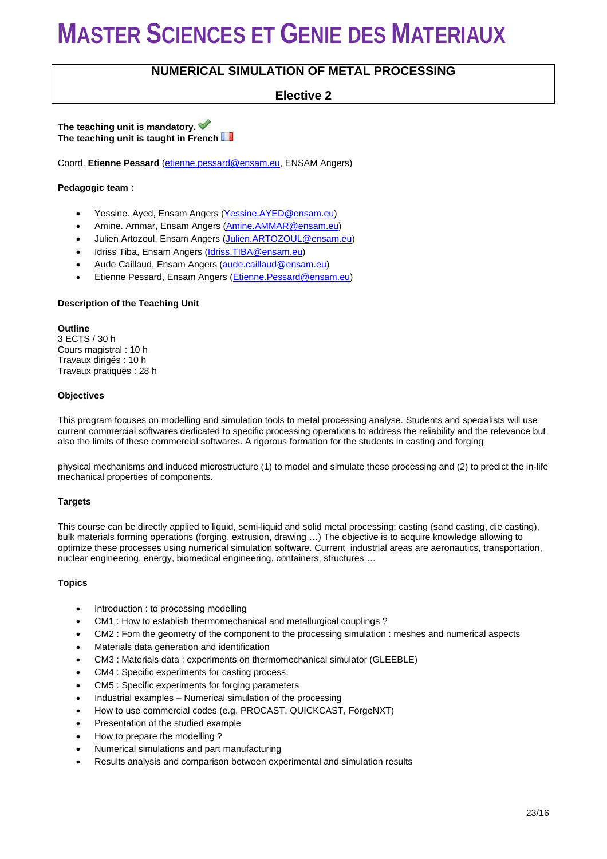### **NUMERICAL SIMULATION OF METAL PROCESSING**

**Elective 2**

**The teaching unit is mandatory. The teaching unit is taught in French**

Coord. **Etienne Pessard** [\(etienne.pessard@ensam.eu,](mailto:etienne.pessard@ensam.eu) ENSAM Angers)

#### **Pedagogic team :**

- Yessine. Ayed, Ensam Angers [\(Yessine.AYED@ensam.eu\)](mailto:Yessine.AYED@ensam.eu)
- Amine. Ammar, Ensam Angers (Amine. AMMAR@ensam.eu)
- Julien Artozoul, Ensam Angers [\(Julien.ARTOZOUL@ensam.eu\)](mailto:Julien.ARTOZOUL@ensam.eu)
- Idriss Tiba, Ensam Angers [\(Idriss.TIBA@ensam.eu\)](mailto:Idriss.TIBA@ensam.eu)
- Aude Caillaud, Ensam Angers [\(aude.caillaud@ensam.eu\)](mailto:aude.caillaud@ensam.eu)
- Etienne Pessard, Ensam Angers [\(Etienne.Pessard@ensam.eu\)](mailto:Etienne.Pessard@ensam.eu)

#### **Description of the Teaching Unit**

**Outline** 3 ECTS / 30 h Cours magistral : 10 h Travaux dirigés : 10 h Travaux pratiques : 28 h

#### **Objectives**

This program focuses on modelling and simulation tools to metal processing analyse. Students and specialists will use current commercial softwares dedicated to specific processing operations to address the reliability and the relevance but also the limits of these commercial softwares. A rigorous formation for the students in casting and forging

physical mechanisms and induced microstructure (1) to model and simulate these processing and (2) to predict the in-life mechanical properties of components.

#### **Targets**

This course can be directly applied to liquid, semi-liquid and solid metal processing: casting (sand casting, die casting), bulk materials forming operations (forging, extrusion, drawing …) The objective is to acquire knowledge allowing to optimize these processes using numerical simulation software. Current industrial areas are aeronautics, transportation, nuclear engineering, energy, biomedical engineering, containers, structures …

#### **Topics**

- Introduction : to processing modelling
- CM1 : How to establish thermomechanical and metallurgical couplings ?
- CM2 : Fom the geometry of the component to the processing simulation : meshes and numerical aspects
- Materials data generation and identification
- CM3 : Materials data : experiments on thermomechanical simulator (GLEEBLE)
- CM4 : Specific experiments for casting process.
- CM5 : Specific experiments for forging parameters
- Industrial examples Numerical simulation of the processing
- How to use commercial codes (e.g. PROCAST, QUICKCAST, ForgeNXT)
- Presentation of the studied example
- How to prepare the modelling ?
- Numerical simulations and part manufacturing
- Results analysis and comparison between experimental and simulation results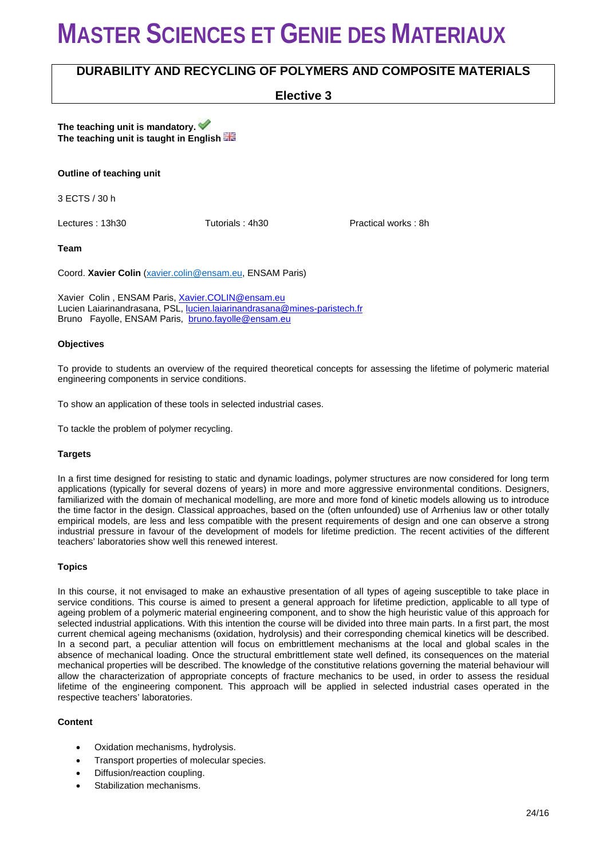### **DURABILITY AND RECYCLING OF POLYMERS AND COMPOSITE MATERIALS**

**Elective 3**

**The teaching unit is mandatory. The teaching unit is taught in English** 

#### **Outline of teaching unit**

3 ECTS / 30 h

Lectures : 13h30 Tutorials : 4h30 Practical works : 8h

**Team**

Coord. **Xavier Colin** [\(xavier.colin@ensam.eu,](mailto:xavier.colin@ensam.eu) ENSAM Paris)

Xavier Colin , ENSAM Paris, [Xavier.COLIN@ensam.eu](mailto:Xavier.COLIN@ensam.eu) Lucien Laiarinandrasana, PSL, [lucien.laiarinandrasana@mines-paristech.fr](mailto:lucien.laiarinandrasana@mines-paristech.fr) Bruno Fayolle, ENSAM Paris, [bruno.fayolle@ensam.eu](mailto:bruno.fayolle@ensam.eu)

#### **Objectives**

To provide to students an overview of the required theoretical concepts for assessing the lifetime of polymeric material engineering components in service conditions.

To show an application of these tools in selected industrial cases.

To tackle the problem of polymer recycling.

#### **Targets**

In a first time designed for resisting to static and dynamic loadings, polymer structures are now considered for long term applications (typically for several dozens of years) in more and more aggressive environmental conditions. Designers, familiarized with the domain of mechanical modelling, are more and more fond of kinetic models allowing us to introduce the time factor in the design. Classical approaches, based on the (often unfounded) use of Arrhenius law or other totally empirical models, are less and less compatible with the present requirements of design and one can observe a strong industrial pressure in favour of the development of models for lifetime prediction. The recent activities of the different teachers' laboratories show well this renewed interest.

#### **Topics**

In this course, it not envisaged to make an exhaustive presentation of all types of ageing susceptible to take place in service conditions. This course is aimed to present a general approach for lifetime prediction, applicable to all type of ageing problem of a polymeric material engineering component, and to show the high heuristic value of this approach for selected industrial applications. With this intention the course will be divided into three main parts. In a first part, the most current chemical ageing mechanisms (oxidation, hydrolysis) and their corresponding chemical kinetics will be described. In a second part, a peculiar attention will focus on embrittlement mechanisms at the local and global scales in the absence of mechanical loading. Once the structural embrittlement state well defined, its consequences on the material mechanical properties will be described. The knowledge of the constitutive relations governing the material behaviour will allow the characterization of appropriate concepts of fracture mechanics to be used, in order to assess the residual lifetime of the engineering component. This approach will be applied in selected industrial cases operated in the respective teachers' laboratories.

#### **Content**

- Oxidation mechanisms, hydrolysis.
- Transport properties of molecular species.
- Diffusion/reaction coupling.
- Stabilization mechanisms.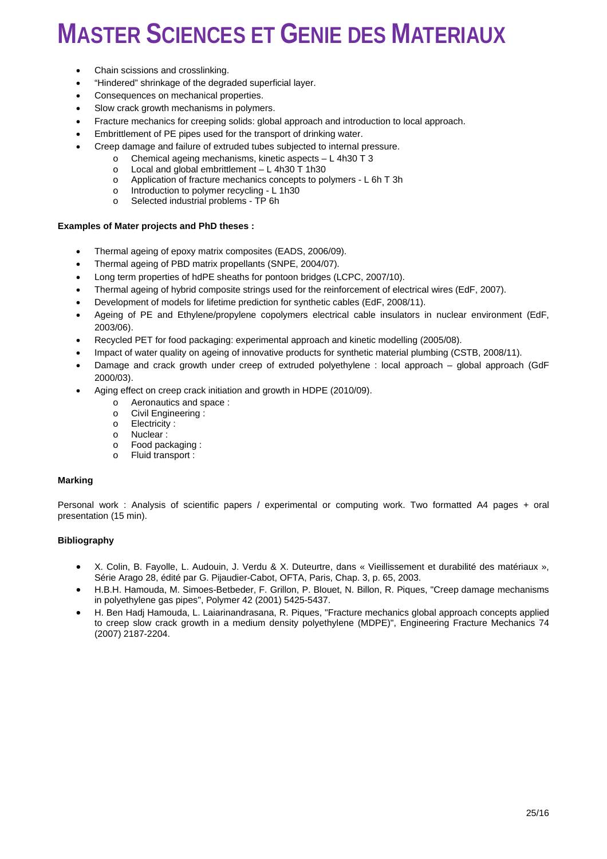- Chain scissions and crosslinking.
- "Hindered" shrinkage of the degraded superficial layer.
- Consequences on mechanical properties.
- Slow crack growth mechanisms in polymers.
- Fracture mechanics for creeping solids: global approach and introduction to local approach.
- Embrittlement of PE pipes used for the transport of drinking water.
- Creep damage and failure of extruded tubes subjected to internal pressure.
	- o Chemical ageing mechanisms, kinetic aspects  $L 4h30 T 3$ <br>o Local and global embrittlement  $L 4h30 T 1h30$
	- $\circ$  Local and global embrittlement L 4h30 T 1h30<br>  $\circ$  Application of fracture mechanics concepts to po
	- o Application of fracture mechanics concepts to polymers L 6h T 3h o Introduction to polymer recycling L 1h30
	- $\circ$  Introduction to polymer recycling L 1h30<br>  $\circ$  Selected industrial problems TP 6h
	- Selected industrial problems TP 6h

#### **Examples of Mater projects and PhD theses :**

- Thermal ageing of epoxy matrix composites (EADS, 2006/09).
- Thermal ageing of PBD matrix propellants (SNPE, 2004/07).
- Long term properties of hdPE sheaths for pontoon bridges (LCPC, 2007/10).
- Thermal ageing of hybrid composite strings used for the reinforcement of electrical wires (EdF, 2007).
- Development of models for lifetime prediction for synthetic cables (EdF, 2008/11).
- Ageing of PE and Ethylene/propylene copolymers electrical cable insulators in nuclear environment (EdF, 2003/06).
- Recycled PET for food packaging: experimental approach and kinetic modelling (2005/08).
- Impact of water quality on ageing of innovative products for synthetic material plumbing (CSTB, 2008/11).
- Damage and crack growth under creep of extruded polyethylene : local approach global approach (GdF 2000/03).
- Aging effect on creep crack initiation and growth in HDPE (2010/09).
	- o Aeronautics and space :<br>  $\circ$  Civil Engineering
		- o Civil Engineering :<br>
		o Flectricity :
		- o Electricity:<br>o Nuclear:
		- o Nuclear:<br>o Food pac
		- o Food packaging :<br>o Fluid transport :
		- Fluid transport :

#### **Marking**

Personal work : Analysis of scientific papers / experimental or computing work. Two formatted A4 pages + oral presentation (15 min).

#### **Bibliography**

- X. Colin, B. Fayolle, L. Audouin, J. Verdu & X. Duteurtre, dans « Vieillissement et durabilité des matériaux », Série Arago 28, édité par G. Pijaudier-Cabot, OFTA, Paris, Chap. 3, p. 65, 2003.
- H.B.H. Hamouda, M. Simoes-Betbeder, F. Grillon, P. Blouet, N. Billon, R. Piques, "Creep damage mechanisms in polyethylene gas pipes", Polymer 42 (2001) 5425-5437.
- H. Ben Hadj Hamouda, L. Laiarinandrasana, R. Piques, "Fracture mechanics global approach concepts applied to creep slow crack growth in a medium density polyethylene (MDPE)", Engineering Fracture Mechanics 74 (2007) 2187-2204.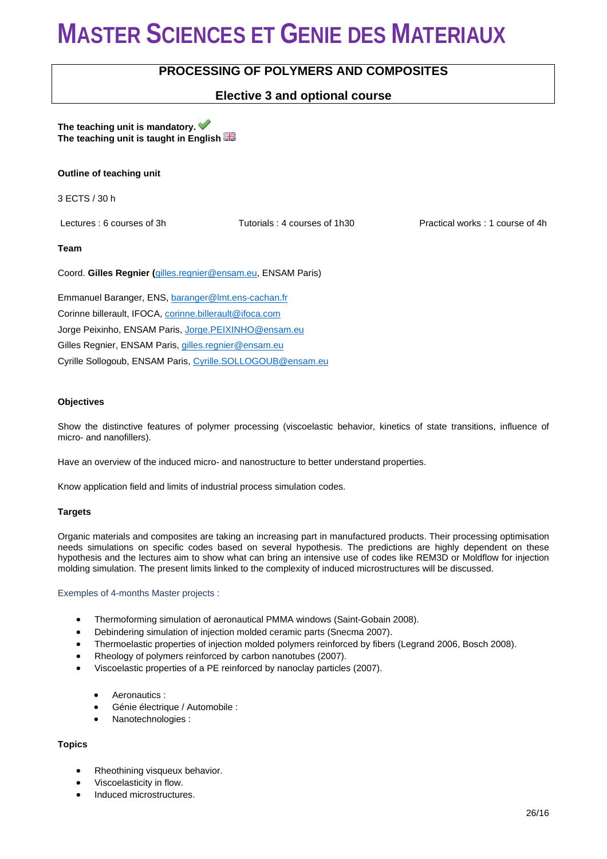### **PROCESSING OF POLYMERS AND COMPOSITES**

### **Elective 3 and optional course**

#### **The teaching unit is mandatory. The teaching unit is taught in English**

#### **Outline of teaching unit**

3 ECTS / 30 h

Lectures : 6 courses of 3h Tutorials : 4 courses of 1h30 Practical works : 1 course of 4h

#### **Team**

Coord. **Gilles Regnier (**[gilles.regnier@ensam.eu,](mailto:gilles.regnier@ensam.eu) ENSAM Paris)

Emmanuel Baranger, ENS, [baranger@lmt.ens-cachan.fr](mailto:baranger@lmt.ens-cachan.fr) Corinne billerault, IFOCA[, corinne.billerault@ifoca.com](mailto:corinne.billerault@ifoca.com) Jorge Peixinho, ENSAM Paris, [Jorge.PEIXINHO@ensam.eu](mailto:Jorge.PEIXINHO@ensam.eu) Gilles Regnier, ENSAM Paris, [gilles.regnier@ensam.eu](mailto:gilles.regnier@ensam.eu) Cyrille Sollogoub, ENSAM Paris, [Cyrille.SOLLOGOUB@ensam.eu](mailto:Cyrille.SOLLOGOUB@ensam.eu)

#### **Objectives**

Show the distinctive features of polymer processing (viscoelastic behavior, kinetics of state transitions, influence of micro- and nanofillers).

Have an overview of the induced micro- and nanostructure to better understand properties.

Know application field and limits of industrial process simulation codes.

#### **Targets**

Organic materials and composites are taking an increasing part in manufactured products. Their processing optimisation needs simulations on specific codes based on several hypothesis. The predictions are highly dependent on these hypothesis and the lectures aim to show what can bring an intensive use of codes like REM3D or Moldflow for injection molding simulation. The present limits linked to the complexity of induced microstructures will be discussed.

#### Exemples of 4-months Master projects :

- Thermoforming simulation of aeronautical PMMA windows (Saint-Gobain 2008).
- Debindering simulation of injection molded ceramic parts (Snecma 2007).
- Thermoelastic properties of injection molded polymers reinforced by fibers (Legrand 2006, Bosch 2008).
- Rheology of polymers reinforced by carbon nanotubes (2007).
- Viscoelastic properties of a PE reinforced by nanoclay particles (2007).
	- Aeronautics :
	- Génie électrique / Automobile :
	- Nanotechnologies :

### **Topics**

- Rheothining visqueux behavior.
- Viscoelasticity in flow.
- Induced microstructures.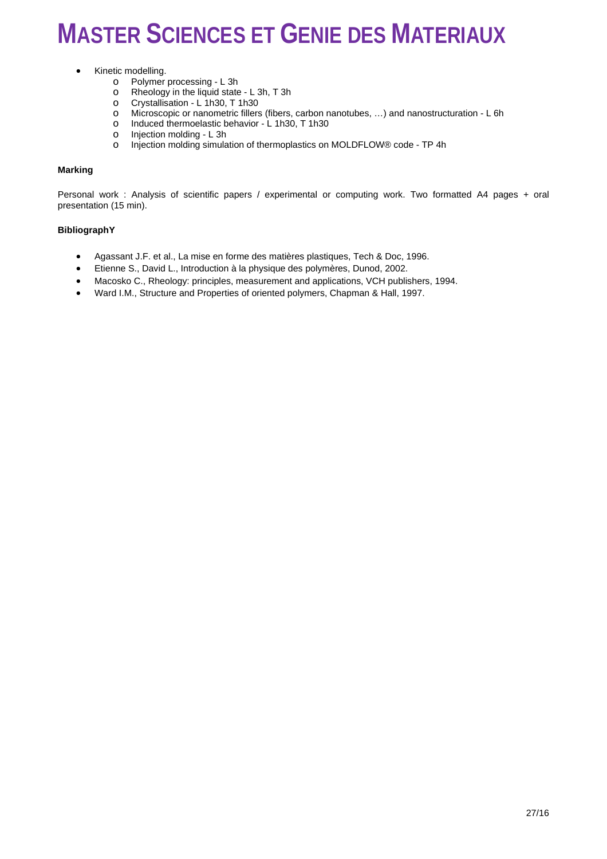- Kinetic modelling.
	- o Polymer processing L 3h<br>o Rheology in the liquid state
	- o Rheology in the liquid state L 3h, T 3h<br>
	o Crystallisation L 1h30, T 1h30
	- o Crystallisation L 1h30, T 1h30<br>
	o Microscopic or nanometric fillers
	- o Microscopic or nanometric fillers (fibers, carbon nanotubes, …) and nanostructuration L 6h
	- o Induced thermoelastic behavior  $\angle$  1h30, T 1h30<br>o Injection molding L 3h
	- o Injection molding L 3h
	- Injection molding simulation of thermoplastics on MOLDFLOW® code TP 4h

#### **Marking**

Personal work : Analysis of scientific papers / experimental or computing work. Two formatted A4 pages + oral presentation (15 min).

#### **BibliographY**

- Agassant J.F. et al., La mise en forme des matières plastiques, Tech & Doc, 1996.
- Etienne S., David L., Introduction à la physique des polymères, Dunod, 2002.
- Macosko C., Rheology: principles, measurement and applications, VCH publishers, 1994.
- Ward I.M., Structure and Properties of oriented polymers, Chapman & Hall, 1997.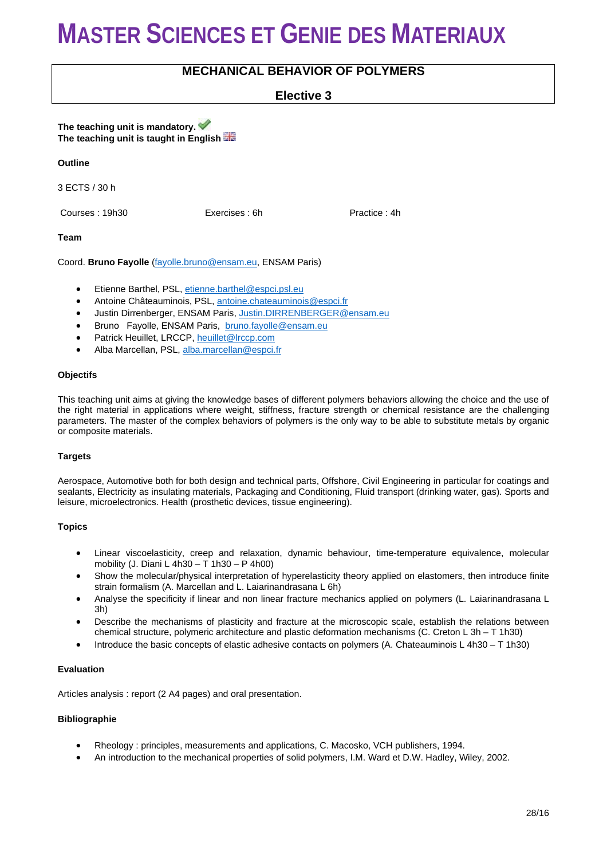### **MECHANICAL BEHAVIOR OF POLYMERS**

### **Elective 3**

**The teaching unit is mandatory. The teaching unit is taught in English** 

#### **Outline**

3 ECTS / 30 h

Courses : 19h30 Exercises : 6h Practice : 4h

#### **Team**

Coord. **Bruno Fayolle** [\(fayolle.bruno@ensam.eu,](mailto:fayolle.bruno@ensam.eu) ENSAM Paris)

- Etienne Barthel, PSL, [etienne.barthel@espci.psl.eu](mailto:etienne.barthel@espci.psl.eu)
- Antoine Châteauminois, PSL, [antoine.chateauminois@espci.fr](mailto:antoine.chateauminois@espci.fr)
- Justin Dirrenberger, ENSAM Paris, [Justin.DIRRENBERGER@ensam.eu](mailto:Justin.DIRRENBERGER@ensam.eu)
- Bruno Fayolle, ENSAM Paris, [bruno.fayolle@ensam.eu](mailto:bruno.fayolle@ensam.eu)
- Patrick Heuillet, LRCCP, [heuillet@lrccp.com](mailto:heuillet@lrccp.com)
- Alba Marcellan, PSL, [alba.marcellan@espci.fr](mailto:alba.marcellan@espci.fr)

#### **Objectifs**

This teaching unit aims at giving the knowledge bases of different polymers behaviors allowing the choice and the use of the right material in applications where weight, stiffness, fracture strength or chemical resistance are the challenging parameters. The master of the complex behaviors of polymers is the only way to be able to substitute metals by organic or composite materials.

#### **Targets**

Aerospace, Automotive both for both design and technical parts, Offshore, Civil Engineering in particular for coatings and sealants, Electricity as insulating materials, Packaging and Conditioning, Fluid transport (drinking water, gas). Sports and leisure, microelectronics. Health (prosthetic devices, tissue engineering).

#### **Topics**

- Linear viscoelasticity, creep and relaxation, dynamic behaviour, time-temperature equivalence, molecular mobility (J. Diani L 4h30 – T 1h30 – P 4h00)
- Show the molecular/physical interpretation of hyperelasticity theory applied on elastomers, then introduce finite strain formalism (A. Marcellan and L. Laiarinandrasana L 6h)
- Analyse the specificity if linear and non linear fracture mechanics applied on polymers (L. Laiarinandrasana L 3h)
- Describe the mechanisms of plasticity and fracture at the microscopic scale, establish the relations between chemical structure, polymeric architecture and plastic deformation mechanisms (C. Creton L 3h – T 1h30)
- Introduce the basic concepts of elastic adhesive contacts on polymers (A. Chateauminois L 4h30 T 1h30)

#### **Evaluation**

Articles analysis : report (2 A4 pages) and oral presentation.

#### **Bibliographie**

- Rheology : principles, measurements and applications, C. Macosko, VCH publishers, 1994.
- An introduction to the mechanical properties of solid polymers, I.M. Ward et D.W. Hadley, Wiley, 2002.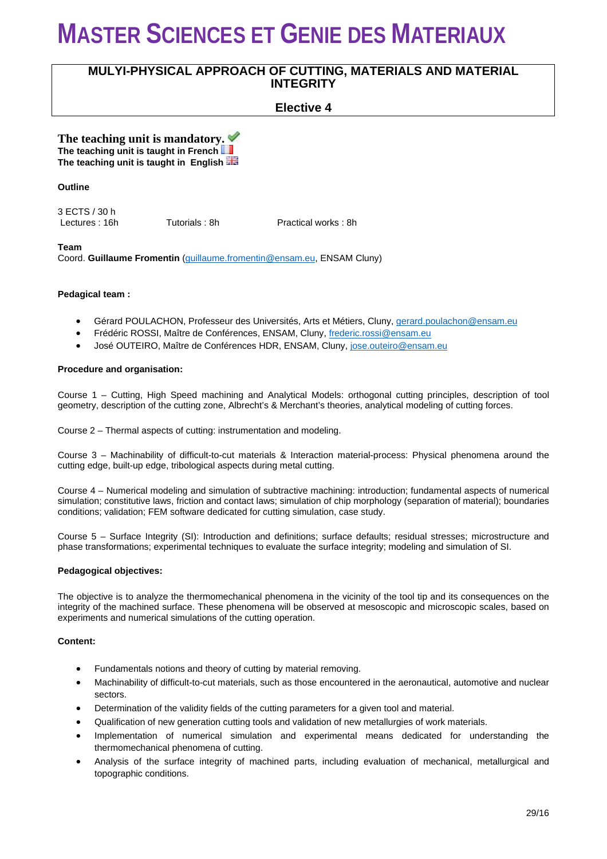### **MULYI-PHYSICAL APPROACH OF CUTTING, MATERIALS AND MATERIAL INTEGRITY**

### **Elective 4**

**The teaching unit is mandatory. The teaching unit is taught in French The teaching unit is taught in English** 

#### **Outline**

3 ECTS / 30 h

Tutorials : 8h Practical works : 8h

#### **Team**

Coord. **Guillaume Fromentin** [\(guillaume.fromentin@ensam.eu,](mailto:guillaume.formentin@ensam.eu) ENSAM Cluny)

#### **Pedagical team :**

- Gérard POULACHON, Professeur des Universités, Arts et Métiers, Cluny[, gerard.poulachon@ensam.eu](mailto:gerard.poulachon@ensam.eu)
- Frédéric ROSSI, Maître de Conférences, ENSAM, Cluny[, frederic.rossi@ensam.eu](mailto:frederic.rossi@ensam.eu)
- José OUTEIRO, Maître de Conférences HDR, ENSAM, Cluny, [jose.outeiro@ensam.eu](mailto:jose.outeiro@ensam.eu)

#### **Procedure and organisation:**

Course 1 – Cutting, High Speed machining and Analytical Models: orthogonal cutting principles, description of tool geometry, description of the cutting zone, Albrecht's & Merchant's theories, analytical modeling of cutting forces.

Course 2 – Thermal aspects of cutting: instrumentation and modeling.

Course 3 – Machinability of difficult-to-cut materials & Interaction material-process: Physical phenomena around the cutting edge, built-up edge, tribological aspects during metal cutting.

Course 4 – Numerical modeling and simulation of subtractive machining: introduction; fundamental aspects of numerical simulation; constitutive laws, friction and contact laws; simulation of chip morphology (separation of material); boundaries conditions; validation; FEM software dedicated for cutting simulation, case study.

Course 5 – Surface Integrity (SI): Introduction and definitions; surface defaults; residual stresses; microstructure and phase transformations; experimental techniques to evaluate the surface integrity; modeling and simulation of SI.

#### **Pedagogical objectives:**

The objective is to analyze the thermomechanical phenomena in the vicinity of the tool tip and its consequences on the integrity of the machined surface. These phenomena will be observed at mesoscopic and microscopic scales, based on experiments and numerical simulations of the cutting operation.

#### **Content:**

- Fundamentals notions and theory of cutting by material removing.
- Machinability of difficult-to-cut materials, such as those encountered in the aeronautical, automotive and nuclear sectors.
- Determination of the validity fields of the cutting parameters for a given tool and material.
- Qualification of new generation cutting tools and validation of new metallurgies of work materials.
- Implementation of numerical simulation and experimental means dedicated for understanding the thermomechanical phenomena of cutting.
- Analysis of the surface integrity of machined parts, including evaluation of mechanical, metallurgical and topographic conditions.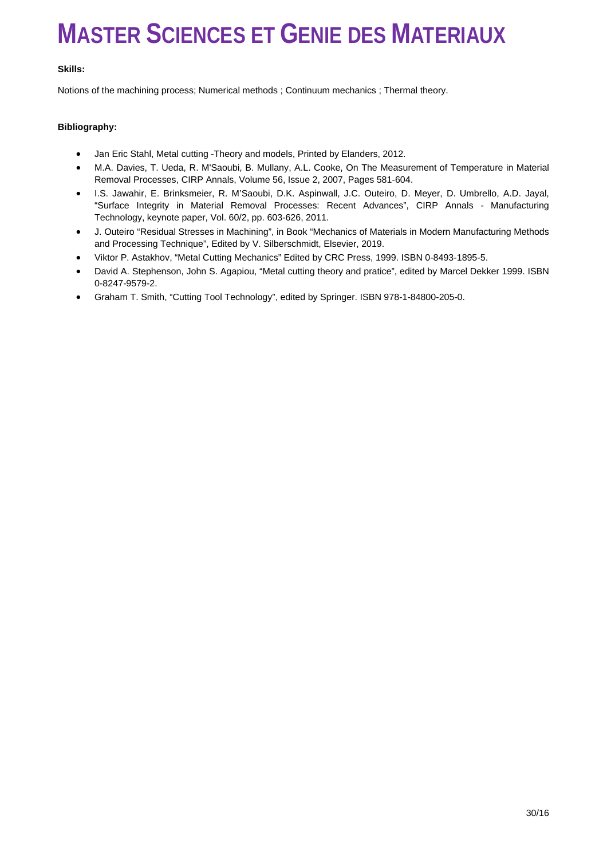#### **Skills:**

Notions of the machining process; Numerical methods ; Continuum mechanics ; Thermal theory.

#### **Bibliography:**

- Jan Eric Stahl, Metal cutting -Theory and models, Printed by Elanders, 2012.
- M.A. Davies, T. Ueda, R. M'Saoubi, B. Mullany, A.L. Cooke, On The Measurement of Temperature in Material Removal Processes, CIRP Annals, Volume 56, Issue 2, 2007, Pages 581-604.
- I.S. Jawahir, E. Brinksmeier, R. M'Saoubi, D.K. Aspinwall, J.C. Outeiro, D. Meyer, D. Umbrello, A.D. Jayal, "Surface Integrity in Material Removal Processes: Recent Advances", CIRP Annals - Manufacturing Technology, keynote paper, Vol. 60/2, pp. 603-626, 2011.
- J. Outeiro "Residual Stresses in Machining", in Book "Mechanics of Materials in Modern Manufacturing Methods and Processing Technique", Edited by V. Silberschmidt, Elsevier, 2019.
- Viktor P. Astakhov, "Metal Cutting Mechanics" Edited by CRC Press, 1999. ISBN 0-8493-1895-5.
- David A. Stephenson, John S. Agapiou, "Metal cutting theory and pratice", edited by Marcel Dekker 1999. ISBN 0-8247-9579-2.
- Graham T. Smith, "Cutting Tool Technology", edited by Springer. ISBN 978-1-84800-205-0.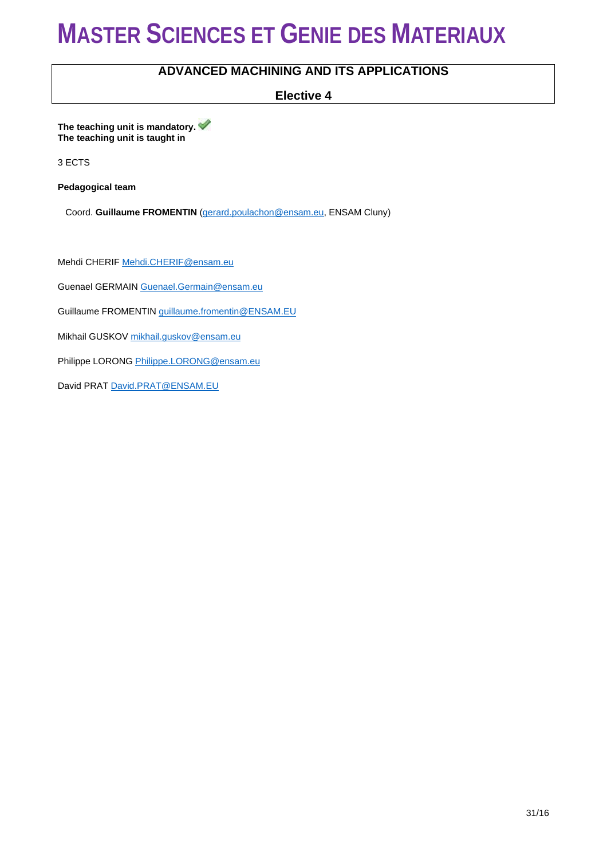### **ADVANCED MACHINING AND ITS APPLICATIONS**

**Elective 4**

**The teaching unit is mandatory. The teaching unit is taught in** 

3 ECTS

**Pedagogical team**

Coord. **Guillaume FROMENTIN** [\(gerard.poulachon@ensam.eu,](mailto:gerard.poulachon@ensam.eu) ENSAM Cluny)

Mehdi CHERI[F Mehdi.CHERIF@ensam.eu](mailto:Mehdi.CHERIF@ensam.eu)

Guenael GERMAI[N Guenael.Germain@ensam.eu](mailto:Guenael.Germain@ensam.eu)

Guillaume FROMENTI[N guillaume.fromentin@ENSAM.EU](mailto:guillaume.fromentin@ENSAM.EU)

Mikhail GUSKOV [mikhail.guskov@ensam.eu](mailto:mikhail.guskov@ensam.eu)

Philippe LORON[G Philippe.LORONG@ensam.eu](mailto:Philippe.LORONG@ensam.eu)

David PRA[T David.PRAT@ENSAM.EU](mailto:David.PRAT@ENSAM.EU)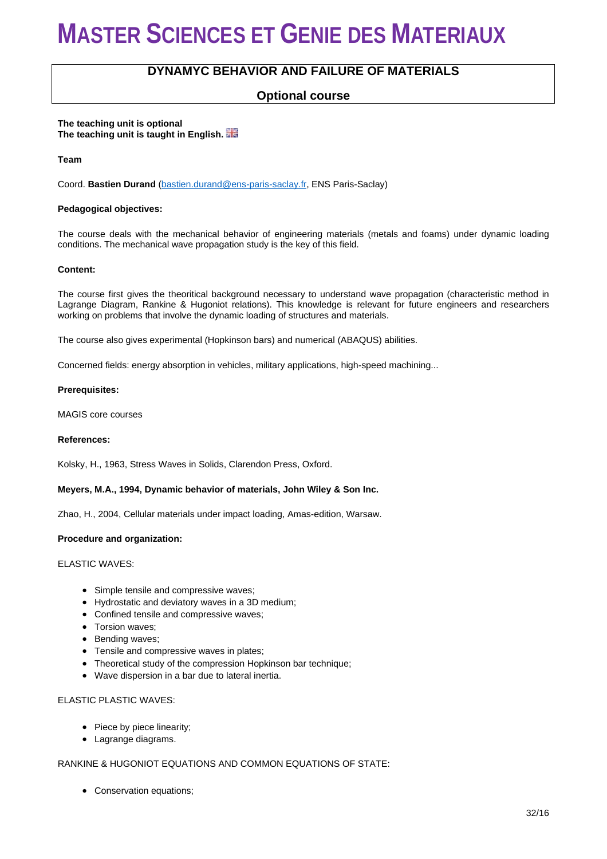### **DYNAMYC BEHAVIOR AND FAILURE OF MATERIALS**

### **Optional course**

**The teaching unit is optional The teaching unit is taught in English.** 

**Team**

Coord. **Bastien Durand** [\(bastien.durand@ens-paris-saclay.fr,](mailto:bastien.durand@ens-paris-saclay.fr) ENS Paris-Saclay)

#### **Pedagogical objectives:**

The course deals with the mechanical behavior of engineering materials (metals and foams) under dynamic loading conditions. The mechanical wave propagation study is the key of this field.

#### **Content:**

The course first gives the theoritical background necessary to understand wave propagation (characteristic method in Lagrange Diagram, Rankine & Hugoniot relations). This knowledge is relevant for future engineers and researchers working on problems that involve the dynamic loading of structures and materials.

The course also gives experimental (Hopkinson bars) and numerical (ABAQUS) abilities.

Concerned fields: energy absorption in vehicles, military applications, high-speed machining...

#### **Prerequisites:**

MAGIS core courses

#### **References:**

Kolsky, H., 1963, Stress Waves in Solids, Clarendon Press, Oxford.

#### **Meyers, M.A., 1994, Dynamic behavior of materials, John Wiley & Son Inc.**

Zhao, H., 2004, Cellular materials under impact loading, Amas-edition, Warsaw.

#### **Procedure and organization:**

#### ELASTIC WAVES:

- Simple tensile and compressive waves;
- Hydrostatic and deviatory waves in a 3D medium;
- Confined tensile and compressive waves;
- Torsion waves;
- Bending waves;
- Tensile and compressive waves in plates;
- Theoretical study of the compression Hopkinson bar technique;
- Wave dispersion in a bar due to lateral inertia.

#### ELASTIC PLASTIC WAVES:

- Piece by piece linearity;
- Lagrange diagrams.

#### RANKINE & HUGONIOT EQUATIONS AND COMMON EQUATIONS OF STATE:

• Conservation equations;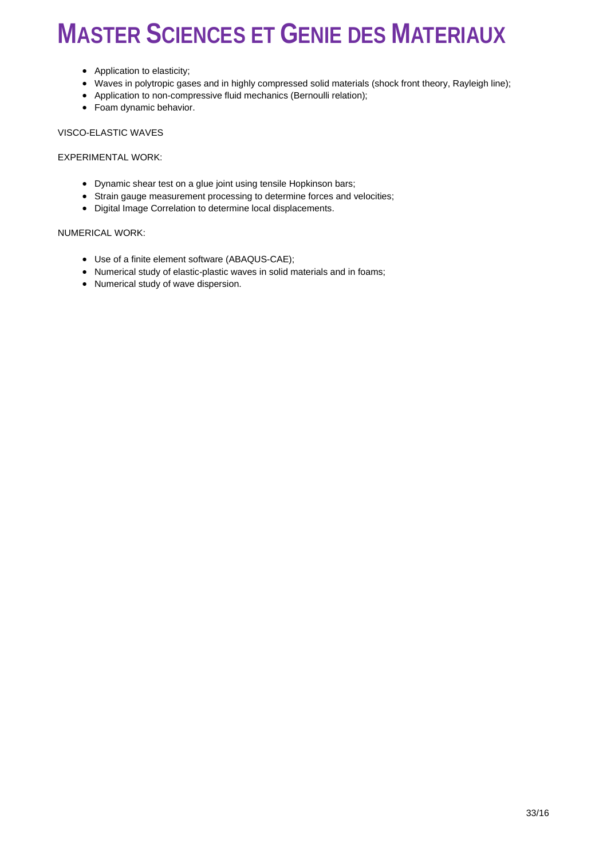- Application to elasticity;
- Waves in polytropic gases and in highly compressed solid materials (shock front theory, Rayleigh line);
- Application to non-compressive fluid mechanics (Bernoulli relation);
- Foam dynamic behavior.

VISCO-ELASTIC WAVES

EXPERIMENTAL WORK:

- Dynamic shear test on a glue joint using tensile Hopkinson bars;
- Strain gauge measurement processing to determine forces and velocities;
- Digital Image Correlation to determine local displacements.

#### NUMERICAL WORK:

- Use of a finite element software (ABAQUS-CAE);
- Numerical study of elastic-plastic waves in solid materials and in foams;
- Numerical study of wave dispersion.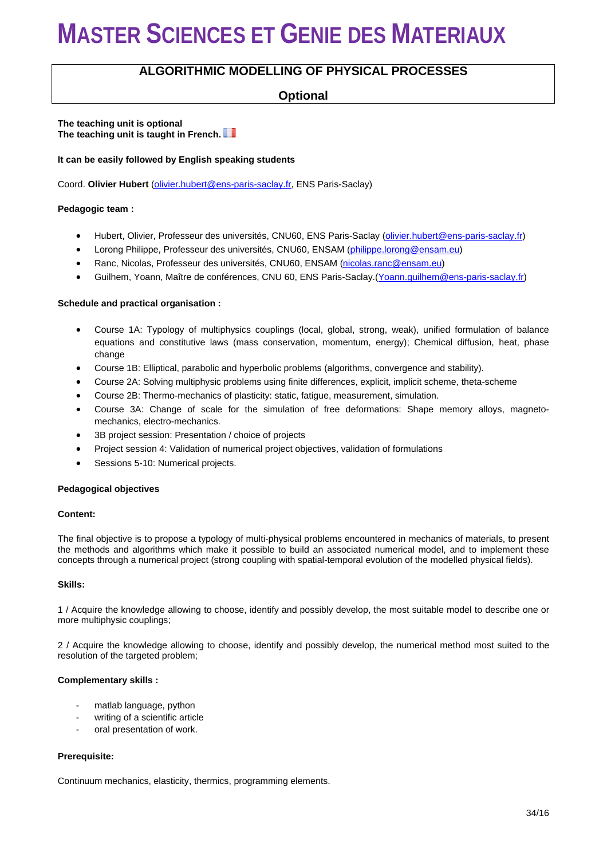### **ALGORITHMIC MODELLING OF PHYSICAL PROCESSES**

### **Optional**

#### **The teaching unit is optional The teaching unit is taught in French.**

#### **It can be easily followed by English speaking students**

Coord. **Olivier Hubert** [\(olivier.hubert@ens-paris-saclay.fr,](mailto:olivier.hubert@ens-paris-saclay.fr) ENS Paris-Saclay)

#### **Pedagogic team :**

- Hubert, Olivier, Professeur des universités, CNU60, ENS Paris-Saclay [\(olivier.hubert@ens-paris-saclay.fr\)](mailto:olivier.hubert@ens-paris-saclay.fr)
- Lorong Philippe, Professeur des universités, CNU60, ENSAM [\(philippe.lorong@ensam.eu\)](mailto:philippe.lorong@ensam.eu)
- Ranc, Nicolas, Professeur des universités, CNU60, ENSAM [\(nicolas.ranc@ensam.eu\)](mailto:nicolas.ranc@ensam.eu)
- Guilhem, Yoann, Maître de conférences, CNU 60, ENS Paris-Saclay.[\(Yoann.guilhem@ens-paris-saclay.fr\)](mailto:Yoann.guilhem@ens-paris-saclay.fr)

#### **Schedule and practical organisation :**

- Course 1A: Typology of multiphysics couplings (local, global, strong, weak), unified formulation of balance equations and constitutive laws (mass conservation, momentum, energy); Chemical diffusion, heat, phase change
- Course 1B: Elliptical, parabolic and hyperbolic problems (algorithms, convergence and stability).
- Course 2A: Solving multiphysic problems using finite differences, explicit, implicit scheme, theta-scheme
- Course 2B: Thermo-mechanics of plasticity: static, fatigue, measurement, simulation.
- Course 3A: Change of scale for the simulation of free deformations: Shape memory alloys, magnetomechanics, electro-mechanics.
- 3B project session: Presentation / choice of projects
- Project session 4: Validation of numerical project objectives, validation of formulations
- Sessions 5-10: Numerical projects.

#### **Pedagogical objectives**

#### **Content:**

The final objective is to propose a typology of multi-physical problems encountered in mechanics of materials, to present the methods and algorithms which make it possible to build an associated numerical model, and to implement these concepts through a numerical project (strong coupling with spatial-temporal evolution of the modelled physical fields).

#### **Skills:**

1 / Acquire the knowledge allowing to choose, identify and possibly develop, the most suitable model to describe one or more multiphysic couplings;

2 / Acquire the knowledge allowing to choose, identify and possibly develop, the numerical method most suited to the resolution of the targeted problem;

#### **Complementary skills :**

- matlab language, python
- writing of a scientific article
- oral presentation of work.

#### **Prerequisite:**

Continuum mechanics, elasticity, thermics, programming elements.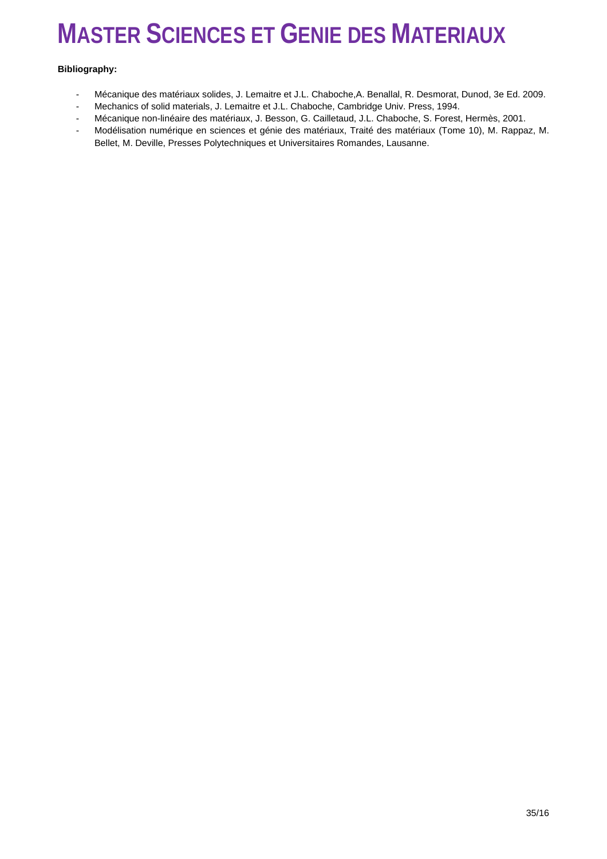#### **Bibliography:**

- Mécanique des matériaux solides, J. Lemaitre et J.L. Chaboche,A. Benallal, R. Desmorat, Dunod, 3e Ed. 2009.
- Mechanics of solid materials, J. Lemaitre et J.L. Chaboche, Cambridge Univ. Press, 1994.<br>- Mécanique pop-linéaire des matériaux J. Besson, G. Cailletaud, J.L. Chaboche, S. Forest
- Mécanique non-linéaire des matériaux, J. Besson, G. Cailletaud, J.L. Chaboche, S. Forest, Hermès, 2001.
- Modélisation numérique en sciences et génie des matériaux, Traité des matériaux (Tome 10), M. Rappaz, M. Bellet, M. Deville, Presses Polytechniques et Universitaires Romandes, Lausanne.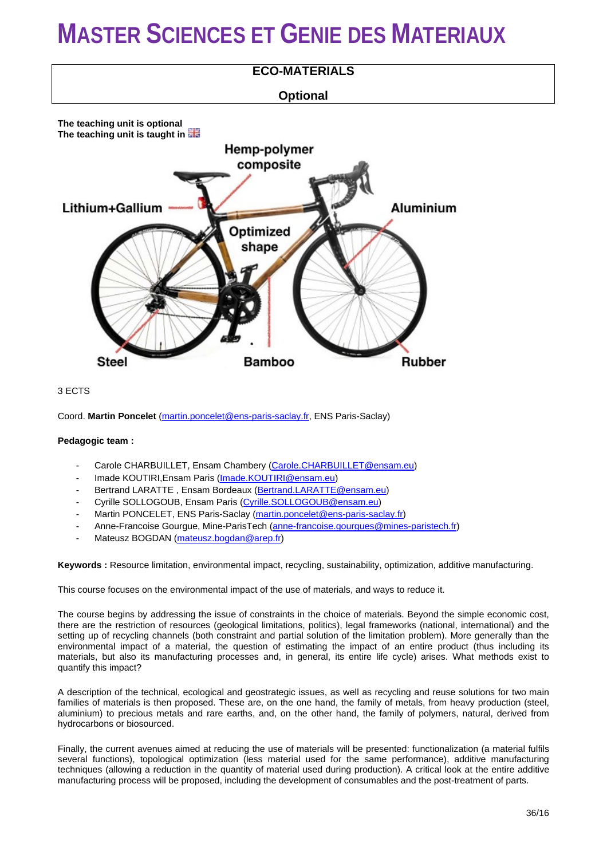

#### 3 ECTS

Coord. **Martin Poncelet** [\(martin.poncelet@ens-paris-saclay.fr,](mailto:martin.poncelet@ens-paris-saclay.fr) ENS Paris-Saclay)

#### **Pedagogic team :**

- Carole CHARBUILLET, Ensam Chambery [\(Carole.CHARBUILLET@ensam.eu\)](mailto:Carole.CHARBUILLET@ensam.eu)
- Imade KOUTIRI, Ensam Paris [\(Imade.KOUTIRI@ensam.eu\)](mailto:Imade.KOUTIRI@ensam.eu)
- Bertrand LARATTE, Ensam Bordeaux [\(Bertrand.LARATTE@ensam.eu\)](mailto:Bertrand.LARATTE@ensam.eu)
- Cyrille SOLLOGOUB, Ensam Paris [\(Cyrille.SOLLOGOUB@ensam.eu\)](mailto:Cyrille.SOLLOGOUB@ensam.eu)
- Martin PONCELET, ENS Paris-Saclay [\(martin.poncelet@ens-paris-saclay.fr\)](mailto:martin.poncelet@ens-paris-saclay.fr)
- Anne-Francoise Gourgue, Mine-ParisTech [\(anne-francoise.gourgues@mines-paristech.fr\)](mailto:anne-francoise.gourgues@mines-paristech.fr)
- Mateusz BOGDAN [\(mateusz.bogdan@arep.fr\)](mailto:mateusz.bogdan@arep.fr)

**Keywords :** Resource limitation, environmental impact, recycling, sustainability, optimization, additive manufacturing.

This course focuses on the environmental impact of the use of materials, and ways to reduce it.

The course begins by addressing the issue of constraints in the choice of materials. Beyond the simple economic cost, there are the restriction of resources (geological limitations, politics), legal frameworks (national, international) and the setting up of recycling channels (both constraint and partial solution of the limitation problem). More generally than the environmental impact of a material, the question of estimating the impact of an entire product (thus including its materials, but also its manufacturing processes and, in general, its entire life cycle) arises. What methods exist to quantify this impact?

A description of the technical, ecological and geostrategic issues, as well as recycling and reuse solutions for two main families of materials is then proposed. These are, on the one hand, the family of metals, from heavy production (steel, aluminium) to precious metals and rare earths, and, on the other hand, the family of polymers, natural, derived from hydrocarbons or biosourced.

Finally, the current avenues aimed at reducing the use of materials will be presented: functionalization (a material fulfils several functions), topological optimization (less material used for the same performance), additive manufacturing techniques (allowing a reduction in the quantity of material used during production). A critical look at the entire additive manufacturing process will be proposed, including the development of consumables and the post-treatment of parts.